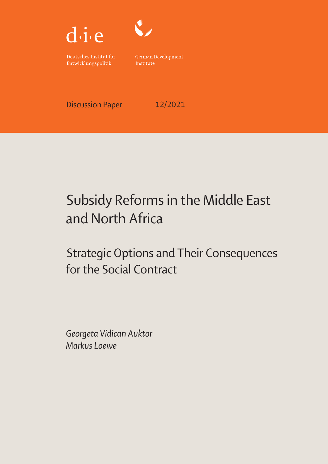



Deutsches Institut für Entwicklungspolitik

German Development Institute

Discussion Paper 12/2021

# Subsidy Reforms in the Middle East and North Africa

Strategic Options and Their Consequences for the Social Contract

Georgeta Vidican Auktor Markus Loewe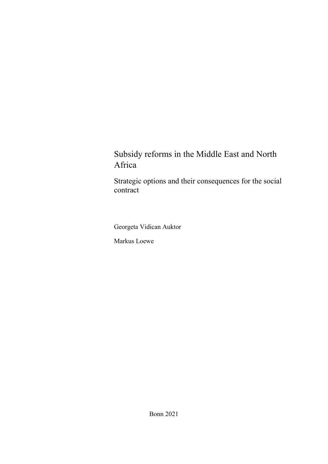# Subsidy reforms in the Middle East and North Africa

Strategic options and their consequences for the social contract

Georgeta Vidican Auktor

Markus Loewe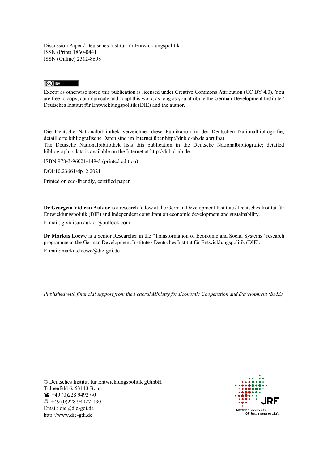Discussion Paper / Deutsches Institut für Entwicklungspolitik ISSN (Print) 1860-0441 ISSN (Online) 2512-8698

#### $\left(\text{c}\right)$  BY

 Except as otherwise noted this publication is licensed under Creative Commons Attribution (CC BY 4.0). You are free to copy, communicate and adapt this work, as long as you attribute the German Development Institute / Deutsches Institut für Entwicklungspolitik (DIE) and the author.

Die Deutsche Nationalbibliothek verzeichnet diese Publikation in der Deutschen Nationalbibliografie; detaillierte bibliografische Daten sind im Internet über <http://dnb.d-nb.de> abrufbar.

 The Deutsche Nationalbibliothek lists this publication in the Deutsche Nationalbibliografie; detailed bibliographic data is available on the Internet at <http://dnb.d-nb.de>.

ISBN 978-3-96021-149-5 (printed edition)

DOI:10.23661/dp12.2021

Printed on eco-friendly, certified paper

 Entwicklungspolitik (DIE) and independent consultant on economic development and sustainability. **Dr Georgeta Vidican Auktor** is a research fellow at the German Development Institute / Deutsches Institut für E-mail: [g.vidican.auktor@outlook.com](mailto:g.vidican.auktor@outlook.com) 

 programme at the German Development Institute / Deutsches Institut für Entwicklungspolitik (DIE). **Dr Markus Loewe** is a Senior Researcher in the "Transformation of Economic and Social Systems" research E-mail: [markus.loewe@die-gdi.de](mailto:markus.loewe@die-gdi.de)

*Published with financial support from the Federal Ministry for Economic Cooperation and Development (BMZ).* 

© Deutsches Institut für Entwicklungspolitik gGmbH Tulpenfeld 6, 53113 Bonn  $\bullet$  +49 (0) 228 94927-0 +49 (0)228 94927-130 Email: [die@die-gdi.de](mailto:die@die-gdi.de) <http://www.die-gdi.de>

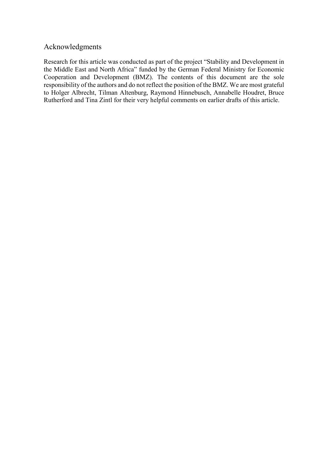### <span id="page-3-0"></span>Acknowledgments

 responsibility of the authors and do not reflect the position of the BMZ. We are most grateful Rutherford and Tina Zintl for their very helpful comments on earlier drafts of this article. Research for this article was conducted as part of the project "Stability and Development in the Middle East and North Africa" funded by the German Federal Ministry for Economic Cooperation and Development (BMZ). The contents of this document are the sole to Holger Albrecht, Tilman Altenburg, Raymond Hinnebusch, Annabelle Houdret, Bruce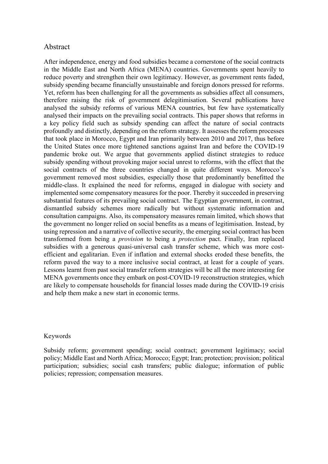#### <span id="page-4-0"></span>Abstract

 therefore raising the risk of government delegitimisation. Several publications have analysed their impacts on the prevailing social contracts. This paper shows that reforms in profoundly and distinctly, depending on the reform strategy. It assesses the reform processes pandemic broke out. We argue that governments applied distinct strategies to reduce subsidy spending without provoking major social unrest to reforms, with the effect that the government removed most subsidies, especially those that predominantly benefitted the middle-class. It explained the need for reforms, engaged in dialogue with society and implemented some compensatory measures for the poor. Thereby it succeeded in preserving the government no longer relied on social benefits as a means of legitimisation. Instead, by using repression and a narrative of collective security, the emerging social contract has been transformed from being a *provision* to being a *protection* pact. Finally, Iran replaced After independence, energy and food subsidies became a cornerstone of the social contracts in the Middle East and North Africa (MENA) countries. Governments spent heavily to reduce poverty and strengthen their own legitimacy. However, as government rents faded, subsidy spending became financially unsustainable and foreign donors pressed for reforms. Yet, reform has been challenging for all the governments as subsidies affect all consumers, analysed the subsidy reforms of various MENA countries, but few have systematically a key policy field such as subsidy spending can affect the nature of social contracts that took place in Morocco, Egypt and Iran primarily between 2010 and 2017, thus before the United States once more tightened sanctions against Iran and before the COVID-19 social contracts of the three countries changed in quite different ways. Morocco's substantial features of its prevailing social contract. The Egyptian government, in contrast, dismantled subsidy schemes more radically but without systematic information and consultation campaigns. Also, its compensatory measures remain limited, which shows that subsidies with a generous quasi-universal cash transfer scheme, which was more costefficient and egalitarian. Even if inflation and external shocks eroded these benefits, the reform paved the way to a more inclusive social contract, at least for a couple of years. Lessons learnt from past social transfer reform strategies will be all the more interesting for MENA governments once they embark on post-COVID-19 reconstruction strategies, which are likely to compensate households for financial losses made during the COVID-19 crisis and help them make a new start in economic terms.

#### Keywords

 policies; repression; compensation measures. Subsidy reform; government spending; social contract; government legitimacy; social policy; Middle East and North Africa; Morocco; Egypt; Iran; protection; provision; political participation; subsidies; social cash transfers; public dialogue; information of public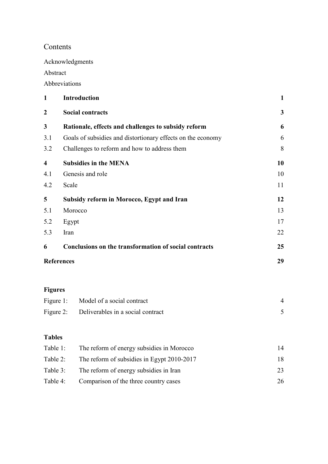# Contents

[Acknowledgments](#page-3-0) 

[Abstract](#page-4-0) 

[Abbreviations](#page-6-0) 

| $\mathbf{1}$            | <b>Introduction</b>                                         | $\mathbf{1}$            |
|-------------------------|-------------------------------------------------------------|-------------------------|
| $\boldsymbol{2}$        | <b>Social contracts</b>                                     | $\overline{\mathbf{3}}$ |
| 3                       | Rationale, effects and challenges to subsidy reform         | 6                       |
| 3.1                     | Goals of subsidies and distortionary effects on the economy | 6                       |
| 3.2                     | Challenges to reform and how to address them                | 8                       |
| $\overline{\mathbf{4}}$ | <b>Subsidies in the MENA</b>                                | 10                      |
| 4.1                     | Genesis and role                                            | 10                      |
| 4.2                     | Scale                                                       | 11                      |
| 5                       | <b>Subsidy reform in Morocco, Egypt and Iran</b>            | 12                      |
| 5.1                     | Morocco                                                     | 13                      |
| 5.2                     | Egypt                                                       | 17                      |
| 5.3                     | Iran                                                        | 22                      |
| 6                       | Conclusions on the transformation of social contracts       | 25                      |
|                         | <b>References</b>                                           | 29                      |
|                         |                                                             |                         |
|                         |                                                             |                         |

# **Figures**

| Figure 1: Model of a social contract        |  |
|---------------------------------------------|--|
| Figure 2: Deliverables in a social contract |  |

# **Tables**

| Table 1: | The reform of energy subsidies in Morocco  | 14 |
|----------|--------------------------------------------|----|
| Table 2: | The reform of subsidies in Egypt 2010-2017 | 18 |
| Table 3: | The reform of energy subsidies in Iran     | 23 |
| Table 4: | Comparison of the three country cases      | 26 |
|          |                                            |    |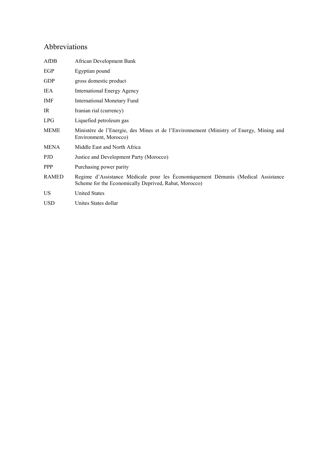# <span id="page-6-0"></span>Abbreviations

| AfDB         | African Development Bank                                                                                                                  |
|--------------|-------------------------------------------------------------------------------------------------------------------------------------------|
| EGP          | Egyptian pound                                                                                                                            |
| <b>GDP</b>   | gross domestic product                                                                                                                    |
| IEA          | International Energy Agency                                                                                                               |
| <b>IMF</b>   | International Monetary Fund                                                                                                               |
| IR           | Iranian rial (currency)                                                                                                                   |
| LPG          | Liquefied petroleum gas                                                                                                                   |
| <b>MEME</b>  | Ministére de l'Energie, des Mines et de l'Environnement (Ministry of Energy, Mining and<br>Environment, Morocco)                          |
| <b>MENA</b>  | Middle East and North Africa                                                                                                              |
| PJD          | Justice and Development Party (Morocco)                                                                                                   |
| <b>PPP</b>   | Purchasing power parity                                                                                                                   |
| <b>RAMED</b> | Regime d'Assistance Médicale pour les Économiquement Démunis (Medical Assistance<br>Scheme for the Economically Deprived, Rabat, Morocco) |
| US.          | <b>United States</b>                                                                                                                      |
| <b>USD</b>   | Unites States dollar                                                                                                                      |
|              |                                                                                                                                           |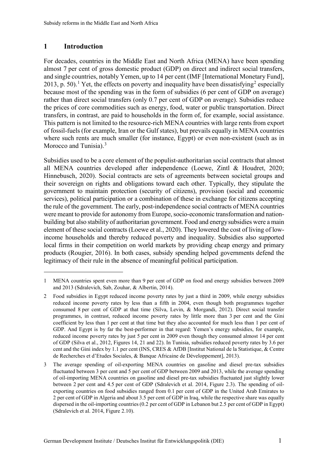### <span id="page-7-0"></span>**1 Introduction**

 $\overline{a}$ 

 almost 7 per cent of gross domestic product (GDP) on direct and indirect social transfers, and single countries, notably Yemen, up to 14 per cent (IMF [International Monetary Fund], [2](#page-7-2)013, p. 50).<sup>1</sup> Yet, the effects on poverty and inequality have been dissatisfying<sup>2</sup> especially because most of the spending was in the form of subsidies (6 per cent of GDP on average) rather than direct social transfers (only 0.7 per cent of GDP on average). Subsidies reduce of fossil-fuels (for example, Iran or the Gulf states), but prevails equally in MENA countries For decades, countries in the Middle East and North Africa (MENA) have been spending the prices of core commodities such as energy, food, water or public transportation. Direct transfers, in contrast, are paid to households in the form of, for example, social assistance. This pattern is not limited to the resource-rich MENA countries with large rents from export where such rents are much smaller (for instance, Egypt) or even non-existent (such as in Morocco and Tunisia).<sup>3</sup>

 services), political participation or a combination of these in exchange for citizens accepting were meant to provide for autonomy from Europe, socio-economic transformation and nation- local firms in their competition on world markets by providing cheap energy and primary Subsidies used to be a core element of the populist-authoritarian social contracts that almost all MENA countries developed after independence (Loewe, Zintl & Houdret, 2020; Hinnebusch, 2020). Social contracts are sets of agreements between societal groups and their sovereign on rights and obligations toward each other. Typically, they stipulate the government to maintain protection (security of citizens), provision (social and economic the rule of the government. The early, post-independence social contracts of MENA countries building but also stability of authoritarian government. Food and energysubsidies were a main element of these social contracts (Loewe et al., 2020). They lowered the cost of living of lowincome households and thereby reduced poverty and inequality. Subsidies also supported products (Rougier, 2016). In both cases, subsidy spending helped governments defend the legitimacy of their rule in the absence of meaningful political participation.

<span id="page-7-1"></span> 1 MENA countries spent even more than 9 per cent of GDP on food and energy subsidies between 2009 and 2013 (Sdralevich, Sab, Zouhar, & Albertin, 2014).

<span id="page-7-2"></span> $\overline{2}$  consumed 8 per cent of GDP at that time (Silva, Levin, & Morgandi, 2012). Direct social transfer programmes, in contrast, reduced income poverty rates by little more than 3 per cent and the Gini coefficient by less than 1 per cent at that time but they also accounted for much less than 1 per cent of GDP. And Egypt is by far the best-performer in that regard: Yemen's energy subsidies, for example, reduced income poverty rates by just 5 per cent in 2009 even though they consumed almost 14 per cent cent and the Gini index by 1.1 per cent (INS, CRES & AfDB [Institut National de la Statistique, & Centre 2 Food subsidies in Egypt reduced income poverty rates by just a third in 2009, while energy subsidies reduced income poverty rates by less than a fifth in 2004, even though both programmes together of GDP (Silva et al., 2012, Figures 14, 21 and 22). In Tunisia, subsidies reduced poverty rates by 3.6 per de Recherches et d'Etudes Sociales, & Banque Africaine de Développement], 2013).

<span id="page-7-3"></span> $\mathfrak{Z}$  fluctuated between 3 per cent and 5 per cent of GDP between 2009 and 2013, while the average spending of oil-importing MENA countries on gasoline and diesel pre-tax subsidies fluctuated just slightly lower between 2 per cent and 4.5 per cent of GDP (Sdralevich et al. 2014, Figure 2.3). The spending of oil- exporting countries on food subsidies ranged from 0.1 per cent of GDP in the United Arab Emirates to 2 per cent of GDP in Algeria and about 3.5 per cent of GDP in Iraq, while the respective share was equally dispersed in the oil-importing countries (0.2 per cent of GDP in Lebanon but 2.5 per cent of GDP in Egypt) 3 The average spending of oil-exporting MENA countries on gasoline and diesel pre-tax subsidies (Sdralevich et al. 2014, Figure 2.10).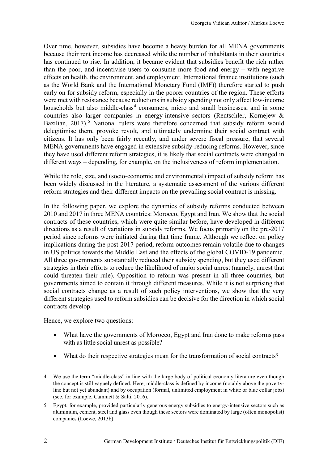Over time, however, subsidies have become a heavy burden for all MENA governments early on for subsidy reform, especially in the poorer countries of the region. These efforts because their rent income has decreased while the number of inhabitants in their countries has continued to rise. In addition, it became evident that subsidies benefit the rich rather than the poor, and incentivise users to consume more food and energy – with negative effects on health, the environment, and employment. International finance institutions (such as the World Bank and the International Monetary Fund (IMF)) therefore started to push were met with resistance because reductions in subsidy spending not only affect low-income households but also middle-class<sup>[4](#page-8-0)</sup> consumers, micro and small businesses, and in some countries also larger companies in energy-intensive sectors (Rentschler, Kornejew & Bazilian, 2017).<sup>5</sup> National rulers were therefore concerned that subsidy reform would delegitimise them, provoke revolt, and ultimately undermine their social contract with citizens. It has only been fairly recently, and under severe fiscal pressure, that several MENA governments have engaged in extensive subsidy-reducing reforms. However, since they have used different reform strategies, it is likely that social contracts were changed in different ways – depending, for example, on the inclusiveness of reform implementation.

 reform strategies and their different impacts on the prevailing social contract is missing. While the role, size, and (socio-economic and environmental) impact of subsidy reform has been widely discussed in the literature, a systematic assessment of the various different

 contracts of these countries, which were quite similar before, have developed in different directions as a result of variations in subsidy reforms. We focus primarily on the pre-2017 in US politics towards the Middle East and the effects of the global COVID-19 pandemic. strategies in their efforts to reduce the likelihood of major social unrest (namely, unrest that In the following paper, we explore the dynamics of subsidy reforms conducted between 2010 and 2017 in three MENA countries: Morocco, Egypt and Iran. We show that the social period since reforms were initiated during that time frame. Although we reflect on policy implications during the post-2017 period, reform outcomes remain volatile due to changes All three governments substantially reduced their subsidy spending, but they used different could threaten their rule). Opposition to reform was present in all three countries, but governments aimed to contain it through different measures. While it is not surprising that social contracts change as a result of such policy interventions, we show that the very different strategies used to reform subsidies can be decisive for the direction in which social contracts develop.

Hence, we explore two questions:

- What have the governments of Morocco, Egypt and Iran done to make reforms pass with as little social unrest as possible?
- What do their respective strategies mean for the transformation of social contracts?

 $\overline{a}$ 

<span id="page-8-0"></span> 4 We use the term "middle-class" in line with the large body of political economy literature even though line but not yet abundant) and by occupation (formal, unlimited employment in white or blue collar jobs) (see, for example, Cammett & Salti, 2016). the concept is still vaguely defined. Here, middle-class is defined by income (notably above the poverty-

<span id="page-8-1"></span> $5<sup>5</sup>$  aluminium, cement, steel and glass even though these sectors were dominated by large (often monopolist) companies (Loewe, 2013b). 5 Egypt, for example, provided particularly generous energy subsidies to energy-intensive sectors such as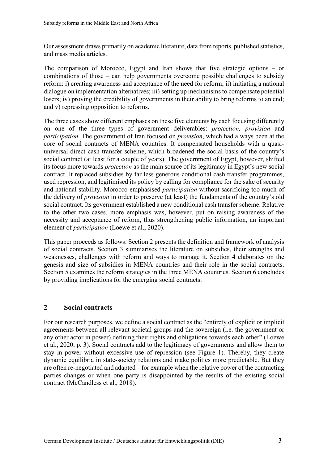and mass media articles. Our assessment draws primarily on academic literature, data from reports, published statistics,

and mass media articles.<br>The comparison of Morocco, Egypt and Iran shows that five strategic options – or combinations of those – can help governments overcome possible challenges to subsidy reform: i) creating awareness and acceptance of the need for reform; ii) initiating a national dialogue on implementation alternatives; iii) setting up mechanisms to compensate potential losers; iv) proving the credibility of governments in their ability to bring reforms to an end; and v) repressing opposition to reforms.

 The three cases show different emphases on these five elements by each focusing differently core of social contracts of MENA countries. It compensated households with a quasi- universal direct cash transfer scheme, which broadened the social basis of the country's contract. It replaced subsidies by far less generous conditional cash transfer programmes, used repression, and legitimised its policy by calling for compliance for the sake of security and national stability. Morocco emphasised *participation* without sacrificing too much of on one of the three types of government deliverables: *protection, provision* and *participation*. The government of Iran focused on *provision*, which had always been at the social contract (at least for a couple of years). The government of Egypt, however, shifted its focus more towards *protection* as the main source of its legitimacy in Egypt's new social the delivery of *provision* in order to preserve (at least) the fundaments of the country's old social contract. Its government established a new conditional cash transfer scheme. Relative to the other two cases, more emphasis was, however, put on raising awareness of the necessity and acceptance of reform, thus strengthening public information, an important element of *participation* (Loewe et al., 2020).

 This paper proceeds as follows: Section 2 presents the definition and framework of analysis by providing implications for the emerging social contracts. of social contracts. Section 3 summarises the literature on subsidies, their strengths and weaknesses, challenges with reform and ways to manage it. Section 4 elaborates on the genesis and size of subsidies in MENA countries and their role in the social contracts. Section 5 examines the reform strategies in the three MENA countries. Section 6 concludes

#### <span id="page-9-0"></span>**2 Social contracts**

 For our research purposes, we define a social contract as the "entirety of explicit or implicit et al., 2020, p. 3). Social contracts add to the legitimacy of governments and allow them to stay in power without excessive use of repression (see Figure 1). Thereby, they create contract (McCandless et al., 2018). agreements between all relevant societal groups and the sovereign (i.e. the government or any other actor in power) defining their rights and obligations towards each other" (Loewe dynamic equilibria in state-society relations and make politics more predictable. But they are often re-negotiated and adapted – for example when the relative power of the contracting parties changes or when one party is disappointed by the results of the existing social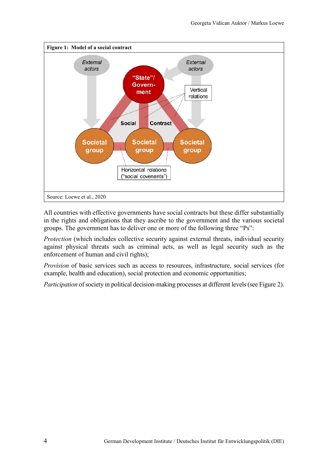<span id="page-10-0"></span>

All countries with effective governments have social contracts but these differ substantially in the rights and obligations that they ascribe to the government and the various societal groups. The government has to deliver one or more of the following three "Ps":

*Protection* (which includes collective security against external threats, individual security against physical threats such as criminal acts, as well as legal security such as the enforcement of human and civil rights);

*Provision* of basic services such as access to resources, infrastructure, social services (for example, health and education), social protection and economic opportunities;

*Participation* of society in political decision-making processes at different levels (see Figure 2).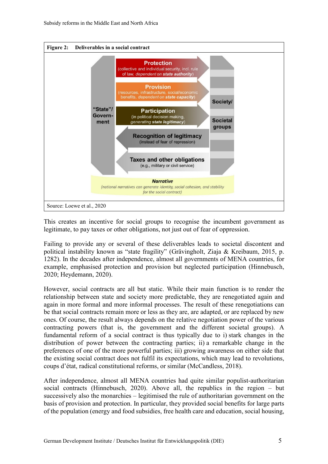<span id="page-11-0"></span>

This creates an incentive for social groups to recognise the incumbent government as legitimate, to pay taxes or other obligations, not just out of fear of oppression.

 Failing to provide any or several of these deliverables leads to societal discontent and political instability known as "state fragility" (Grävingholt, Ziaja & Kreibaum, 2015, p. 1282). In the decades after independence, almost all governments of MENA countries, for example, emphasised protection and provision but neglected participation (Hinnebusch, 2020; Heydemann, 2020).

 However, social contracts are all but static. While their main function is to render the relationship between state and society more predictable, they are renegotiated again and be that social contracts remain more or less as they are, are adapted, or are replaced by new contracting powers (that is, the government and the different societal groups). A distribution of power between the contracting parties; ii) a remarkable change in the preferences of one of the more powerful parties; iii) growing awareness on either side that again in more formal and more informal processes. The result of these renegotiations can ones. Of course, the result always depends on the relative negotiation power of the various fundamental reform of a social contract is thus typically due to i) stark changes in the the existing social contract does not fulfil its expectations, which may lead to revolutions, coups d'état, radical constitutional reforms, or similar (McCandless, 2018).

 After independence, almost all MENA countries had quite similar populist-authoritarian social contracts (Hinnebusch, 2020). Above all, the republics in the region – but successively also the monarchies – legitimised the rule of authoritarian government on the basis of provision and protection. In particular, they provided social benefits for large parts of the population (energy and food subsidies, free health care and education, social housing,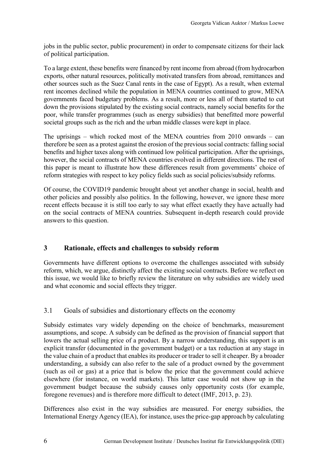jobs in the public sector, public procurement) in order to compensate citizens for their lack of political participation.

 exports, other natural resources, politically motivated transfers from abroad, remittances and other sources such as the Suez Canal rents in the case of Egypt). As a result, when external rent incomes declined while the population in MENA countries continued to grow, MENA governments faced budgetary problems. As a result, more or less all of them started to cut down the provisions stipulated by the existing social contracts, namely social benefits for the societal groups such as the rich and the urban middle classes were kept in place. To a large extent, these benefits were financed by rent income from abroad (from hydrocarbon poor, while transfer programmes (such as energy subsidies) that benefitted more powerful

 The uprisings – which rocked most of the MENA countries from 2010 onwards – can therefore be seen as a protest against the erosion of the previous social contracts: falling social however, the social contracts of MENA countries evolved in different directions. The rest of benefits and higher taxes along with continued low political participation. After the uprisings, this paper is meant to illustrate how these differences result from governments' choice of reform strategies with respect to key policy fields such as social policies/subsidy reforms.

 on the social contracts of MENA countries. Subsequent in-depth research could provide Of course, the COVID19 pandemic brought about yet another change in social, health and other policies and possibly also politics. In the following, however, we ignore these more recent effects because it is still too early to say what effect exactly they have actually had answers to this question.

### <span id="page-12-0"></span> **3 Rationale, effects and challenges to subsidy reform**

Governments have different options to overcome the challenges associated with subsidy reform, which, we argue, distinctly affect the existing social contracts. Before we reflect on this issue, we would like to briefly review the literature on why subsidies are widely used and what economic and social effects they trigger.

### <span id="page-12-1"></span>Goals of subsidies and distortionary effects on the economy

 understanding, a subsidy can also refer to the sale of a product owned by the government government budget because the subsidy causes only opportunity costs (for example, foregone revenues) and is therefore more difficult to detect (IMF, 2013, p. 23). 3.1 Goals of subsidies and distortionary effects on the economy Subsidy estimates vary widely depending on the choice of benchmarks, measurement assumptions, and scope. A subsidy can be defined as the provision of financial support that lowers the actual selling price of a product. By a narrow understanding, this support is an explicit transfer (documented in the government budget) or a tax reduction at any stage in the value chain of a product that enables its producer or trader to sell it cheaper. By a broader (such as oil or gas) at a price that is below the price that the government could achieve elsewhere (for instance, on world markets). This latter case would not show up in the

 Differences also exist in the way subsidies are measured. For energy subsidies, the International Energy Agency (IEA), for instance, uses the price-gap approach by calculating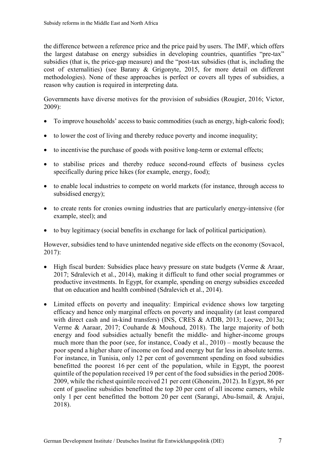cost of externalities) (see Barany & Grigonyte, 2015, for more detail on different the difference between a reference price and the price paid by users. The IMF, which offers the largest database on energy subsidies in developing countries, quantifies "pre-tax" subsidies (that is, the price-gap measure) and the "post-tax subsidies (that is, including the methodologies). None of these approaches is perfect or covers all types of subsidies, a reason why caution is required in interpreting data.

Governments have diverse motives for the provision of subsidies (Rougier, 2016; Victor, 2009):

- To improve households' access to basic commodities (such as energy, high-caloric food);
- to lower the cost of living and thereby reduce poverty and income inequality;
- to incentivise the purchase of goods with positive long-term or external effects;
- to stabilise prices and thereby reduce second-round effects of business cycles specifically during price hikes (for example, energy, food);
- • to enable local industries to compete on world markets (for instance, through access to subsidised energy);
- example, steel); and • to create rents for cronies owning industries that are particularly energy-intensive (for
- to buy legitimacy (social benefits in exchange for lack of political participation).

However, subsidies tend to have unintended negative side effects on the economy (Sovacol, 2017):

- High fiscal burden: Subsidies place heavy pressure on state budgets (Verme & Araar, 2017; Sdralevich et al., 2014), making it difficult to fund other social programmes or productive investments. In Egypt, for example, spending on energy subsidies exceeded that on education and health combined (Sdralevich et al., 2014).
- For instance, in Tunisia, only 12 per cent of government spending on food subsidies benefitted the poorest 16 per cent of the population, while in Egypt, the poorest quintile of the population received 19 per cent of the food subsidies in the period 2008- 2009, while the richest quintile received 21 per cent (Ghoneim, 2012). In Egypt, 86 per cent of gasoline subsidies benefitted the top 20 per cent of all income earners, while only 1 per cent benefitted the bottom 20 per cent (Sarangi, Abu-Ismail, & Arajui, • Limited effects on poverty and inequality: Empirical evidence shows low targeting efficacy and hence only marginal effects on poverty and inequality (at least compared with direct cash and in-kind transfers) (INS, CRES & AfDB, 2013; Loewe, 2013a; Verme & Aaraar, 2017; Couharde & Mouhoud, 2018). The large majority of both energy and food subsidies actually benefit the middle- and higher-income groups much more than the poor (see, for instance, Coady et al., 2010) – mostly because the poor spend a higher share of income on food and energy but far less in absolute terms. 2018).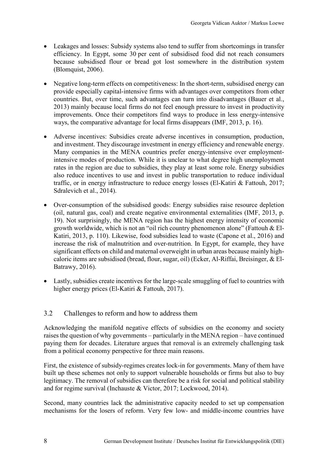- efficiency. In Egypt, some 30 per cent of subsidised food did not reach consumers • Leakages and losses: Subsidy systems also tend to suffer from shortcomings in transfer because subsidised flour or bread got lost somewhere in the distribution system (Blomquist, 2006).
- ways, the comparative advantage for local firms disappears (IMF, 2013, p. 16). • Negative long-term effects on competitiveness: In the short-term, subsidised energy can provide especially capital-intensive firms with advantages over competitors from other countries. But, over time, such advantages can turn into disadvantages (Bauer et al., 2013) mainly because local firms do not feel enough pressure to invest in productivity improvements. Once their competitors find ways to produce in less energy-intensive
- Adverse incentives: Subsidies create adverse incentives in consumption, production, and investment. They discourage investment in energy efficiency and renewable energy. Many companies in the MENA countries prefer energy-intensive over employmentintensive modes of production. While it is unclear to what degree high unemployment rates in the region are due to subsidies, they play at least some role. Energy subsidies also reduce incentives to use and invest in public transportation to reduce individual traffic, or in energy infrastructure to reduce energy losses (El-Katiri & Fattouh, 2017; Sdralevich et al., 2014).
- Katiri, 2013, p. 110). Likewise, food subsidies lead to waste (Capone et al., 2016) and • Over-consumption of the subsidised goods: Energy subsidies raise resource depletion (oil, natural gas, coal) and create negative environmental externalities (IMF, 2013, p. 19). Not surprisingly, the MENA region has the highest energy intensity of economic growth worldwide, which is not an "oil rich country phenomenon alone" (Fattouh & Elincrease the risk of malnutrition and over-nutrition. In Egypt, for example, they have significant effects on child and maternal overweight in urban areas because mainly highcaloric items are subsidised (bread, flour, sugar, oil) (Ecker, Al-Riffai, Breisinger, & El-Batrawy, 2016).
- <span id="page-14-0"></span>• Lastly, subsidies create incentives for the large-scale smuggling of fuel to countries with higher energy prices (El-Katiri & Fattouh, 2017).

### 3.2 Challenges to reform and how to address them

 Acknowledging the manifold negative effects of subsidies on the economy and society raises the question of why governments – particularly in the MENA region – have continued paying them for decades. Literature argues that removal is an extremely challenging task from a political economy perspective for three main reasons.

 and for regime survival (Inchauste & Victor, 2017; Lockwood, 2014). First, the existence of subsidy-regimes creates lock-in for governments. Many of them have built up these schemes not only to support vulnerable households or firms but also to buy legitimacy. The removal of subsidies can therefore be a risk for social and political stability

Second, many countries lack the administrative capacity needed to set up compensation mechanisms for the losers of reform. Very few low- and middle-income countries have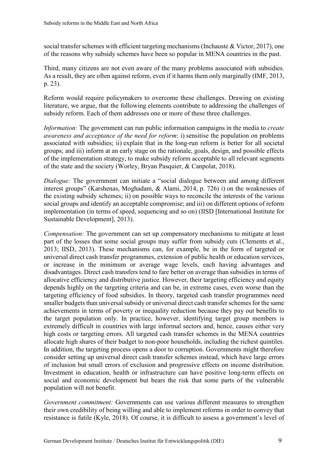social transfer schemes with efficient targeting mechanisms (Inchauste & Victor, 2017), one of the reasons why subsidy schemes have been so popular in MENA countries in the past.

 As a result, they are often against reform, even if it harms them only marginally (IMF, 2013, p. 23). Third, many citizens are not even aware of the many problems associated with subsidies.

Reform would require policymakers to overcome these challenges. Drawing on existing literature, we argue, that the following elements contribute to addressing the challenges of subsidy reform. Each of them addresses one or more of these three challenges.

 *Information:* The government can run public information campaigns in the media to *create*  groups; and iii) inform at an early stage on the rationale, goals, design, and possible effects *awareness and acceptance of the need for reform*: i) sensitise the population on problems associated with subsidies; ii) explain that in the long-run reform is better for all societal of the implementation strategy, to make subsidy reform acceptable to all relevant segments of the state and the society (Worley, Bryan Pasquier, & Canpolat, 2018).

 interest groups" (Karshenas, Moghadam, & Alami, 2014, p. 726) i) on the weaknesses of the existing subsidy schemes; ii) on possible ways to reconcile the interests of the various social groups and identify an acceptable compromise; and iii) on different options of reform *Dialogue:* The government can initiate a "social dialogue between and among different implementation (in terms of speed, sequencing and so on) (IISD [International Institute for Sustainable Development], 2013).

 allocative efficiency and distributive justice. However, their targeting efficiency and equity depends highly on the targeting criteria and can be, in extreme cases, even worse than the smaller budgets than universal subsidy or universal direct cash transfer schemes for the same *Compensation:* The government can set up compensatory mechanisms to mitigate at least part of the losses that some social groups may suffer from subsidy cuts (Clements et al., 2013; IISD, 2013). These mechanisms can, for example, be in the form of targeted or universal direct cash transfer programmes, extension of public health or education services, or increase in the minimum or average wage levels, each having advantages and disadvantages. Direct cash transfers tend to fare better on average than subsidies in terms of targeting efficiency of food subsidies. In theory, targeted cash transfer programmes need achievements in terms of poverty or inequality reduction because they pay out benefits to the target population only. In practice, however, identifying target group members is extremely difficult in countries with large informal sectors and, hence, causes either very high costs or targeting errors. All targeted cash transfer schemes in the MENA countries allocate high shares of their budget to non-poor households, including the richest quintiles. In addition, the targeting process opens a door to corruption. Governments might therefore consider setting up universal direct cash transfer schemes instead, which have large errors of inclusion but small errors of exclusion and progressive effects on income distribution. Investment in education, health or infrastructure can have positive long-term effects on social and economic development but bears the risk that some parts of the vulnerable population will not benefit.

 their own credibility of being willing and able to implement reforms in order to convey that *Government commitment:* Governments can use various different measures to strengthen resistance is futile (Kyle, 2018). Of course, it is difficult to assess a government's level of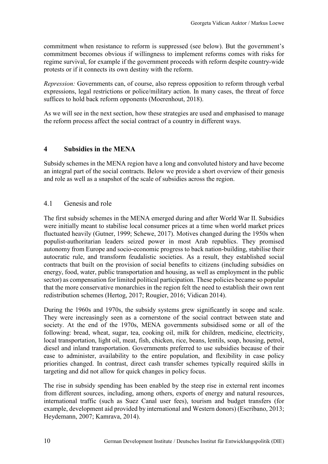commitment becomes obvious if willingness to implement reforms comes with risks for commitment when resistance to reform is suppressed (see below). But the government's regime survival, for example if the government proceeds with reform despite country-wide protests or if it connects its own destiny with the reform.

 *Repression:* Governments can, of course, also repress opposition to reform through verbal expressions, legal restrictions or police/military action. In many cases, the threat of force suffices to hold back reform opponents (Moerenhout, 2018).

<span id="page-16-0"></span>As we will see in the next section, how these strategies are used and emphasised to manage the reform process affect the social contract of a country in different ways.

### **4 Subsidies in the MENA**

 an integral part of the social contracts. Below we provide a short overview of their genesis and role as well as a snapshot of the scale of subsidies across the region. Subsidy schemes in the MENA region have a long and convoluted history and have become

#### <span id="page-16-1"></span> $41$ Genesis and role

The first subsidy schemes in the MENA emerged during and after World War II. Subsidies were initially meant to stabilise local consumer prices at a time when world market prices fluctuated heavily (Gutner, 1999; Schewe, 2017). Motives changed during the 1950s when populist-authoritarian leaders seized power in most Arab republics. They promised autonomy from Europe and socio-economic progress to back nation-building, stabilise their autocratic rule, and transform feudalistic societies. As a result, they established social contracts that built on the provision of social benefits to citizens (including subsidies on energy, food, water, public transportation and housing, as well as employment in the public sector) as compensation for limited political participation. These policies became so popular that the more conservative monarchies in the region felt the need to establish their own rent redistribution schemes (Hertog, 2017; Rougier, 2016; Vidican 2014).

 priorities changed. In contrast, direct cash transfer schemes typically required skills in targeting and did not allow for quick changes in policy focus. During the 1960s and 1970s, the subsidy systems grew significantly in scope and scale. They were increasingly seen as a cornerstone of the social contract between state and society. At the end of the 1970s, MENA governments subsidised some or all of the following: bread, wheat, sugar, tea, cooking oil, milk for children, medicine, electricity, local transportation, light oil, meat, fish, chicken, rice, beans, lentils, soap, housing, petrol, diesel and inland transportation. Governments preferred to use subsidies because of their ease to administer, availability to the entire population, and flexibility in case policy

The rise in subsidy spending has been enabled by the steep rise in external rent incomes from different sources, including, among others, exports of energy and natural resources, international traffic (such as Suez Canal user fees), tourism and budget transfers (for example, development aid provided by international and Western donors) (Escribano, 2013; Heydemann, 2007; Kamrava, 2014).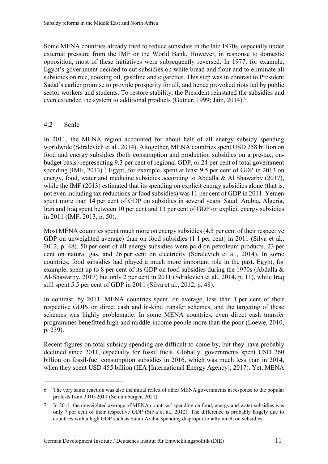Some MENA countries already tried to reduce subsidies in the late 1970s, especially under external pressure from the IMF or the World Bank. However, in response to domestic opposition, most of these initiatives were subsequently reversed. In 1977, for example, Egypt's government decided to cut subsidies on white bread and flour and to eliminate all subsidies on rice, cooking oil, gasoline and cigarettes. This step was in contrast to President Sadat's earlier promise to provide prosperity for all, and hence provoked riots led by public sector workers and students. To restore stability, the President reinstated the subsidies and even extended the system to additional products (Gutner, 1999; Jain, 2014).<sup>6</sup>

### <span id="page-17-0"></span>4.2 Scale

 $\overline{a}$ 

 worldwide (Sdralevich et al., 2014). Altogether, MENA countries spent USD 258 billion on budget basis) representing 9.3 per cent of regional GDP, or 24 per cent of total government spending (IMF, 2013).<sup>7</sup> Egypt, for example, spent at least 9.5 per cent of GDP in 2013 on energy, food, water and medicine subsidies according to Abdalla & Al Shawarby (2017), while the IMF (2013) estimated that its spending on explicit energy subsidies alone (that is, not even including tax reductions or food subsidies) was 11 per cent of GDP in 2011. Yemen spent more than 14 per cent of GDP on subsidies in several years. Saudi Arabia, Algeria, Iran and Iraq spent between 10 per cent and 13 per cent of GDP on explicit energy subsidies in 2011 (IMF, 2013, p. 50). In 2011, the MENA region accounted for about half of all energy subsidy spending food and energy subsidies (both consumption and production subsidies on a pre-tax, on-

 Most MENA countries spent much more on energy subsidies (4.5 per cent of their respective 2012, p. 48). 50 per cent of all energy subsidies were paid on petroleum products, 23 per cent on natural gas, and 26 per cent on electricity (Sdralevich et al., 2014). In some example, spent up to 8 per cent of its GDP on food subsidies during the 1970s (Abdalla & Al-Shawarby, 2017) but only 2 per cent in 2011 (Sdralevich et al., 2014, p. 11), while Iraq still spent 5.5 per cent of GDP in 2011 (Silva et al., 2012, p. 48). GDP on unweighted average) than on food subsidies (1.1 per cent) in 2011 (Silva et al., countries, food subsidies had played a much more important role in the past. Egypt, for

 In contrast, by 2011, MENA countries spent, on average, less than 1 per cent of their p. 239). respective GDPs on direct cash and in-kind transfer schemes, and the targeting of these schemes was highly problematic. In some MENA countries, even direct cash transfer programmes benefitted high and middle-income people more than the poor (Loewe, 2010,

Recent figures on total subsidy spending are difficult to come by, but they have probably declined since 2011, especially for fossil fuels. Globally, governments spent USD 260 billion on fossil-fuel consumption subsidies in 2016, which was much less than in 2014, when they spent USD 455 billion (IEA [International Energy Agency], 2017). Yet, MENA

<span id="page-17-1"></span> 6 The very same reaction was also the initial reflex of other MENA governments in response to the popular protests from 2010-2011 (Schlumberger, 2021).

<span id="page-17-2"></span> $7\phantom{.0}$  only 7 per cent of their respective GDP (Silva et al., 2012). The difference is probably largely due to countries with a high GDP such as Saudi Arabia spending disproportionally much on subsidies. In 2011, the unweighted average of MENA countries' spending on food, energy and water subsidies was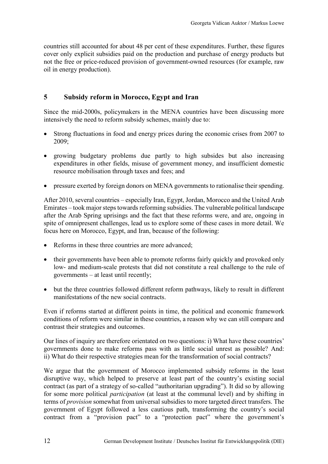countries still accounted for about 48 per cent of these expenditures. Further, these figures cover only explicit subsidies paid on the production and purchase of energy products but not the free or price-reduced provision of government-owned resources (for example, raw oil in energy production).

#### <span id="page-18-0"></span>**5 Subsidy reform in Morocco, Egypt and Iran**

 Since the mid-2000s, policymakers in the MENA countries have been discussing more intensively the need to reform subsidy schemes, mainly due to:

- • Strong fluctuations in food and energy prices during the economic crises from 2007 to 2009;
- growing budgetary problems due partly to high subsides but also increasing expenditures in other fields, misuse of government money, and insufficient domestic resource mobilisation through taxes and fees; and
- pressure exerted by foreign donors on MENA governments to rationalise their spending.

 After 2010, several countries – especially Iran, Egypt, Jordan, Morocco and the United Arab Emirates – took major steps towards reforming subsidies. The vulnerable political landscape after the Arab Spring uprisings and the fact that these reforms were, and are, ongoing in spite of omnipresent challenges, lead us to explore some of these cases in more detail. We focus here on Morocco, Egypt, and Iran, because of the following:

- Reforms in these three countries are more advanced;
- • their governments have been able to promote reforms fairly quickly and provoked only governments – at least until recently; low- and medium-scale protests that did not constitute a real challenge to the rule of
- • but the three countries followed different reform pathways, likely to result in different manifestations of the new social contracts.

 conditions of reform were similar in these countries, a reason why we can still compare and Even if reforms started at different points in time, the political and economic framework contrast their strategies and outcomes.

 governments done to make reforms pass with as little social unrest as possible? And: Our lines of inquiry are therefore orientated on two questions: i) What have these countries' ii) What do their respective strategies mean for the transformation of social contracts?

We argue that the government of Morocco implemented subsidy reforms in the least disruptive way, which helped to preserve at least part of the country's existing social contract (as part of a strategy of so-called "authoritarian upgrading"). It did so by allowing for some more political *participation* (at least at the communal level) and by shifting in terms of *provision* somewhat from universal subsidies to more targeted direct transfers. The government of Egypt followed a less cautious path, transforming the country's social contract from a "provision pact" to a "protection pact" where the government's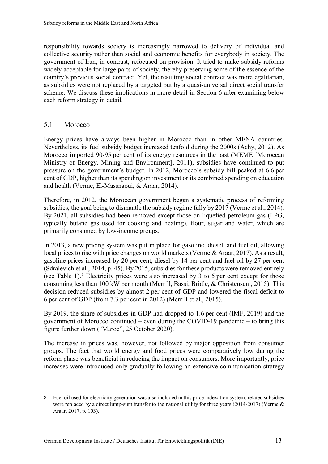government of Iran, in contrast, refocused on provision. It tried to make subsidy reforms responsibility towards society is increasingly narrowed to delivery of individual and collective security rather than social and economic benefits for everybody in society. The widely acceptable for large parts of society, thereby preserving some of the essence of the country's previous social contract. Yet, the resulting social contract was more egalitarian, as subsidies were not replaced by a targeted but by a quasi-universal direct social transfer scheme. We discuss these implications in more detail in Section 6 after examining below each reform strategy in detail.

#### <span id="page-19-0"></span> $5<sub>1</sub>$ Morocco

 $\overline{a}$ 

 Morocco imported 90-95 per cent of its energy resources in the past (MEME [Moroccan pressure on the government's budget. In 2012, Morocco's subsidy bill peaked at 6.6 per Energy prices have always been higher in Morocco than in other MENA countries. Nevertheless, its fuel subsidy budget increased tenfold during the 2000s (Achy, 2012). As Ministry of Energy, Mining and Environment], 2011), subsidies have continued to put cent of GDP, higher than its spending on investment or its combined spending on education and health (Verme, El-Massnaoui, & Araar, 2014).

 Therefore, in 2012, the Moroccan government began a systematic process of reforming subsidies, the goal being to dismantle the subsidy regime fully by 2017 (Verme et al., 2014). By 2021, all subsidies had been removed except those on liquefied petroleum gas (LPG, typically butane gas used for cooking and heating), flour, sugar and water, which are primarily consumed by low-income groups.

 In 2013, a new pricing system was put in place for gasoline, diesel, and fuel oil, allowing gasoline prices increased by 20 per cent, diesel by 14 per cent and fuel oil by 27 per cent (see Table 1).<sup>[8](#page-19-1)</sup> Electricity prices were also increased by 3 to 5 per cent except for those consuming less than 100 kW per month (Merrill, Bassi, Bridle, & Christensen , 2015). This decision reduced subsidies by almost 2 per cent of GDP and lowered the fiscal deficit to 6 per cent of GDP (from 7.3 per cent in 2012) (Merrill et al., 2015). local prices to rise with price changes on world markets (Verme & Araar, 2017). As a result, (Sdralevich et al., 2014, p. 45). By 2015, subsidies for these products were removed entirely

 By 2019, the share of subsidies in GDP had dropped to 1.6 per cent (IMF, 2019) and the government of Morocco continued – even during the COVID-19 pandemic – to bring this figure further down ("Maroc", 25 October 2020).

The increase in prices was, however, not followed by major opposition from consumer groups. The fact that world energy and food prices were comparatively low during the reform phase was beneficial in reducing the impact on consumers. More importantly, price increases were introduced only gradually following an extensive communication strategy

<span id="page-19-1"></span> 8 Fuel oil used for electricity generation was also included in this price indexation system; related subsidies were replaced by a direct lump-sum transfer to the national utility for three years (2014-2017) (Verme  $\&$ Araar, 2017, p. 103).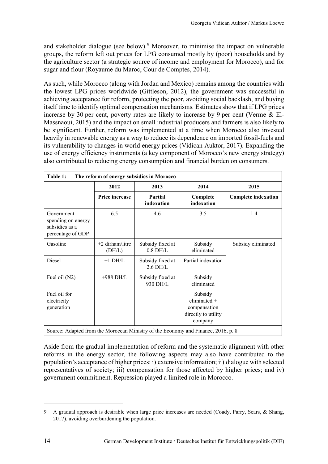and stakeholder dialogue (see below).<sup>[9](#page-20-1)</sup> Moreover, to minimise the impact on vulnerable groups, the reform left out prices for LPG consumed mostly by (poor) households and by the agriculture sector (a strategic source of income and employment for Morocco), and for sugar and flour (Royaume du Maroc, Cour de Comptes, 2014).

 itself time to identify optimal compensation mechanisms*.* Estimates show that if LPG prices increase by 30 per cent, poverty rates are likely to increase by 9 per cent (Verme & El- be significant. Further, reform was implemented at a time when Morocco also invested heavily in renewable energy as a way to reduce its dependence on imported fossil-fuels and As such, while Morocco (along with Jordan and Mexico) remains among the countries with the lowest LPG prices worldwide (Gittleson, 2012), the government was successful in achieving acceptance for reform, protecting the poor, avoiding social backlash, and buying Massnaoui, 2015) and the impact on small industrial producers and farmers is also likely to its vulnerability to changes in world energy prices (Vidican Auktor, 2017). Expanding the use of energy efficiency instruments (a key component of Morocco's new energy strategy) also contributed to reducing energy consumption and financial burden on consumers.

<span id="page-20-0"></span>

| Table 1:<br>The reform of energy subsidies in Morocco                             |                             |                                |                                                                             |                            |  |  |
|-----------------------------------------------------------------------------------|-----------------------------|--------------------------------|-----------------------------------------------------------------------------|----------------------------|--|--|
|                                                                                   | 2012                        | 2013                           | 2014                                                                        | 2015                       |  |  |
|                                                                                   | Price increase              | Partial<br>indexation          | Complete<br>indexation                                                      | <b>Complete indexation</b> |  |  |
| Government<br>spending on energy<br>subsidies as a<br>percentage of GDP           | 6.5                         | 4.6                            | 3.5                                                                         | 1.4                        |  |  |
| Gasoline                                                                          | $+2$ dirham/litre<br>(DH/L) | Subsidy fixed at<br>$0.8$ DH/L | Subsidy<br>eliminated                                                       | Subsidy eliminated         |  |  |
| Diesel                                                                            | $+1$ DH/L                   | Subsidy fixed at<br>$2.6$ DH/L | Partial indexation                                                          |                            |  |  |
| Fuel oil (N2)                                                                     | $+988$ DH/L                 | Subsidy fixed at<br>930 DH/L   | Subsidy<br>eliminated                                                       |                            |  |  |
| Fuel oil for<br>electricity<br>generation                                         |                             |                                | Subsidy<br>eliminated $+$<br>compensation<br>directly to utility<br>company |                            |  |  |
| Source: Adapted from the Moroccan Ministry of the Economy and Finance, 2016, p. 8 |                             |                                |                                                                             |                            |  |  |

government commitment. Repression played a limited role in Morocco. government commitment. Repression played a limited role in Morocco.<br>
A gradual approach is desirable when large price increases are needed (Coady, Parry, Sears, & Shang, Aside from the gradual implementation of reform and the systematic alignment with other reforms in the energy sector, the following aspects may also have contributed to the population's acceptance of higher prices: i) extensive information; ii) dialogue with selected representatives of society; iii) compensation for those affected by higher prices; and iv)

 $\overline{a}$ 

<span id="page-20-1"></span><sup>2017),</sup> avoiding overburdening the population. 9<br>14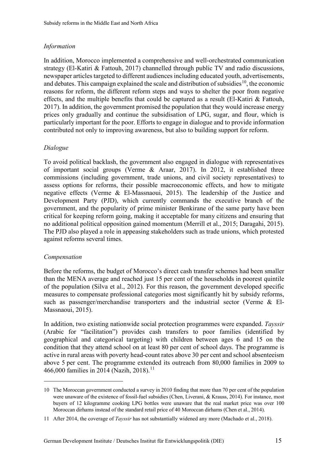### *Information*

 newspaper articles targeted to different audiences including educated youth, advertisements, In addition, Morocco implemented a comprehensive and well-orchestrated communication strategy (El-Katiri & Fattouh, 2017) channelled through public TV and radio discussions, and debates. This campaign explained the scale and distribution of subsidies<sup>[10](#page-21-0)</sup>, the economic reasons for reform, the different reform steps and ways to shelter the poor from negative effects, and the multiple benefits that could be captured as a result (El-Katiri & Fattouh, 2017). In addition, the government promised the population that they would increase energy prices only gradually and continue the subsidisation of LPG, sugar, and flour, which is particularly important for the poor. Efforts to engage in dialogue and to provide information contributed not only to improving awareness, but also to building support for reform.

### *Dialogue*

 government, and the popularity of prime minister Benkirane of the same party have been To avoid political backlash, the government also engaged in dialogue with representatives of important social groups (Verme & Araar, 2017). In 2012, it established three commissions (including government, trade unions, and civil society representatives) to assess options for reforms, their possible macroeconomic effects, and how to mitigate negative effects (Verme & El-Massnaoui, 2015). The leadership of the Justice and Development Party (PJD), which currently commands the executive branch of the critical for keeping reform going, making it acceptable for many citizens and ensuring that no additional political opposition gained momentum (Merrill et al., 2015; Daragahi, 2015). The PJD also played a role in appeasing stakeholders such as trade unions, which protested against reforms several times.

### *Compensation*

 $\overline{a}$ 

 than the MENA average and reached just 15 per cent of the households in poorest quintile Before the reforms, the budget of Morocco's direct cash transfer schemes had been smaller of the population (Silva et al., 2012). For this reason, the government developed specific measures to compensate professional categories most significantly hit by subsidy reforms, such as passenger/merchandise transporters and the industrial sector (Verme & El-Massnaoui, 2015).

 condition that they attend school on at least 80 per cent of school days. The programme is active in rural areas with poverty head-count rates above 30 per cent and school absenteeism In addition, two existing nationwide social protection programmes were expanded. *Tayssir*  (Arabic for "facilitation") provides cash transfers to poor families (identified by geographical and categorical targeting) with children between ages 6 and 15 on the above 5 per cent. The programme extended its outreach from 80,000 families in 2009 to 466,000 families in 2014 (Nazih, 2018).<sup>11</sup>

<span id="page-21-0"></span> 10 The Moroccan government conducted a survey in 2010 finding that more than 70 per cent of the population were unaware of the existence of fossil-fuel subsidies (Chen, Liverani, & Krauss, 2014). For instance, most buyers of 12 kilogramme cooking LPG bottles were unaware that the real market price was over 100 Moroccan dirhams instead of the standard retail price of 40 Moroccan dirhams (Chen et al., 2014).

<span id="page-21-1"></span> Moroccan dirhams instead of the standard retail price of 40 Moroccan dirhams (Chen et al., 2014). 11 After 2014, the coverage of *Tayssir* has not substantially widened any more (Machado et al., 2018).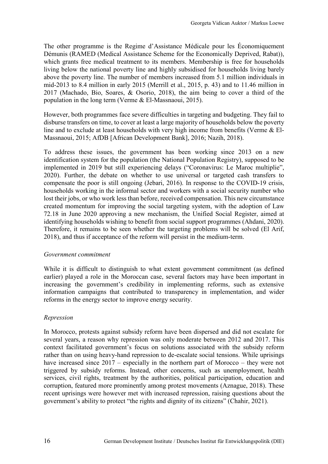Démunis (RAMED (Medical Assistance Scheme for the Economically Deprived, Rabat)), The other programme is the Regime d'Assistance Médicale pour les Économiquement which grants free medical treatment to its members. Membership is free for households living below the national poverty line and highly subsidised for households living barely above the poverty line. The number of members increased from 5.1 million individuals in mid-2013 to 8.4 million in early 2015 (Merrill et al., 2015, p. 43) and to 11.46 million in 2017 (Machado, Bio, Soares, & Osorio, 2018), the aim being to cover a third of the population in the long term (Verme & El-Massnaoui, 2015).

 line and to exclude at least households with very high income from benefits (Verme & El- Massnaoui, 2015; AfDB [African Development Bank], 2016; Nazih, 2018). However, both programmes face severe difficulties in targeting and budgeting. They fail to disburse transfers on time, to cover at least a large majority of households below the poverty

 households working in the informal sector and workers with a social security number who created momentum for improving the social targeting system, with the adoption of Law Therefore, it remains to be seen whether the targeting problems will be solved (El Arif, To address these issues, the government has been working since 2013 on a new identification system for the population (the National Population Registry), supposed to be implemented in 2019 but still experiencing delays ("Coronavirus: Le Maroc multiplie", 2020). Further, the debate on whether to use universal or targeted cash transfers to compensate the poor is still ongoing (Jebari, 2016). In response to the COVID-19 crisis, lost their jobs, or who work less than before, received compensation. This new circumstance 72.18 in June 2020 approving a new mechanism, the Unified Social Register, aimed at identifying households wishing to benefit from social support programmes (Ahdani, 2020). 2018), and thus if acceptance of the reform will persist in the medium-term.

#### *Government commitment*

While it is difficult to distinguish to what extent government commitment (as defined earlier) played a role in the Moroccan case, several factors may have been important in increasing the government's credibility in implementing reforms, such as extensive information campaigns that contributed to transparency in implementation, and wider reforms in the energy sector to improve energy security.

### *Repression*

 several years, a reason why repression was only moderate between 2012 and 2017. This context facilitated government's focus on solutions associated with the subsidy reform have increased since 2017 – especially in the northern part of Morocco – they were not services, civil rights, treatment by the authorities, political participation, education and In Morocco, protests against subsidy reform have been dispersed and did not escalate for rather than on using heavy-hand repression to de-escalate social tensions. While uprisings triggered by subsidy reforms. Instead, other concerns, such as unemployment, health corruption, featured more prominently among protest movements (Aznague, 2018). These recent uprisings were however met with increased repression, raising questions about the government's ability to protect "the rights and dignity of its citizens" (Chahir, 2021).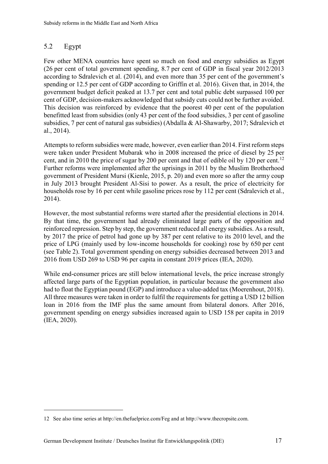#### <span id="page-23-0"></span>5.2 Egypt

 $\overline{a}$ 

 Few other MENA countries have spent so much on food and energy subsidies as Egypt (26 per cent of total government spending, 8.7 per cent of GDP in fiscal year 2012/2013 according to Sdralevich et al. (2014), and even more than 35 per cent of the government's spending or 12.5 per cent of GDP according to Griffin et al. 2016). Given that, in 2014, the government budget deficit peaked at 13.7 per cent and total public debt surpassed 100 per cent of GDP, decision-makers acknowledged that subsidy cuts could not be further avoided. This decision was reinforced by evidence that the poorest 40 per cent of the population benefitted least from subsidies (only 43 per cent of the food subsidies, 3 per cent of gasoline subsidies, 7 per cent of natural gas subsidies) (Abdalla & Al-Shawarby, 2017; Sdralevich et al., 2014).

cent, and in 2010 the price of sugar by 200 per cent and that of edible oil by [12](#page-23-1)0 per cent.<sup>12</sup> in July 2013 brought President Al-Sisi to power. As a result, the price of electricity for households rose by 16 per cent while gasoline prices rose by 112 per cent (Sdralevich et al., Attempts to reform subsidies were made, however, even earlier than 2014. First reform steps were taken under President Mubarak who in 2008 increased the price of diesel by 25 per Further reforms were implemented after the uprisings in 2011 by the Muslim Brotherhood government of President Mursi (Kienle, 2015, p. 20) and even more so after the army coup 2014).

 by 2017 the price of petrol had gone up by 387 per cent relative to its 2010 level, and the price of LPG (mainly used by low-income households for cooking) rose by 650 per cent 2016 from USD 269 to USD 96 per capita in constant 2019 prices (IEA, 2020). However, the most substantial reforms were started after the presidential elections in 2014. By that time, the government had already eliminated large parts of the opposition and reinforced repression. Step by step, the government reduced all energy subsidies. As a result, (see Table 2). Total government spending on energy subsidies decreased between 2013 and

 (IEA, 2020). While end-consumer prices are still below international levels, the price increase strongly affected large parts of the Egyptian population, in particular because the government also had to float the Egyptian pound (EGP) and introduce a value-added tax (Moerenhout, 2018). All three measures were taken in order to fulfil the requirements for getting a USD 12 billion loan in 2016 from the IMF plus the same amount from bilateral donors. After 2016, government spending on energy subsidies increased again to USD 158 per capita in 2019

<span id="page-23-1"></span> 12 See also time series at<http://en.thefuelprice.com/Feg> and at <http://www.thecropsite.com>.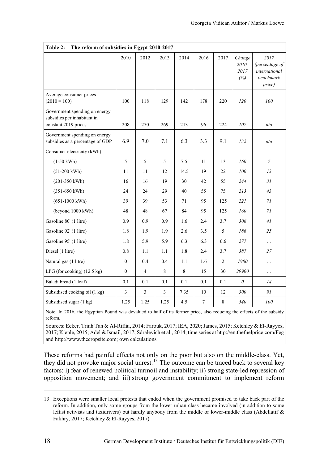<span id="page-24-0"></span>

| Table 2:<br>The reform of subsidies in Egypt 2010-2017                               |                  |                |                |       |                |                |                                |                                                                |
|--------------------------------------------------------------------------------------|------------------|----------------|----------------|-------|----------------|----------------|--------------------------------|----------------------------------------------------------------|
|                                                                                      | 2010             | 2012           | 2013           | 2014  | 2016           | 2017           | Change<br>2010-<br>2017<br>(%) | 2017<br>(percentage of<br>international<br>benchmark<br>price) |
| Average consumer prices<br>$(2010 = 100)$                                            | 100              | 118            | 129            | 142   | 178            | 220            | 120                            | 100                                                            |
| Government spending on energy<br>subsidies per inhabitant in<br>constant 2019 prices | 208              | 270            | 269            | 213   | 96             | 224            | 107                            | n/a                                                            |
| Government spending on energy<br>subsidies as a percentage of GDP                    | 6.9              | 7.0            | 7.1            | 6.3   | 3.3            | 9.1            | 132                            | n/a                                                            |
| Consumer electricity (kWh)                                                           |                  |                |                |       |                |                |                                |                                                                |
| $(1-50 \text{ kWh})$                                                                 | 5                | 5              | 5              | 7.5   | 11             | 13             | 160                            | $\boldsymbol{7}$                                               |
| $(51-200 \text{ kWh})$                                                               | 11               | 11             | 12             | 14.5  | 19             | 22             | 100                            | 13                                                             |
| $(201-350 \text{ kWh})$                                                              | 16               | 16             | 19             | 30    | 42             | 55             | 244                            | 31                                                             |
| $(351 - 650 \text{ kWh})$                                                            | 24               | 24             | 29             | 40    | 55             | 75             | 213                            | 43                                                             |
| $(651-1000 \text{ kWh})$                                                             | 39               | 39             | 53             | 71    | 95             | 125            | 221                            | 71                                                             |
| (beyond 1000 kWh)                                                                    | 48               | 48             | 67             | 84    | 95             | 125            | 160                            | 71                                                             |
| Gasoline 80' (1 litre)                                                               | 0.9              | 0.9            | 0.9            | 1.6   | 2.4            | 3.7            | 306                            | 41                                                             |
| Gasoline 92' (1 litre)                                                               | 1.8              | 1.9            | 1.9            | 2.6   | 3.5            | 5              | 186                            | 25                                                             |
| Gasoline 95' (1 litre)                                                               | 1.8              | 5.9            | 5.9            | 6.3   | 6.3            | 6.6            | 277                            | $\cdots$                                                       |
| Diesel (1 litre)                                                                     | 0.8              | 1.1            | 1.1            | 1.8   | 2.4            | 3.7            | 387                            | 27                                                             |
| Natural gas (1 litre)                                                                | $\mathbf{0}$     | 0.4            | 0.4            | 1.1   | 1.6            | $\overline{2}$ | 1900                           | $\cdots$                                                       |
| LPG (for cooking) $(12.5 \text{ kg})$                                                | $\boldsymbol{0}$ | 4              | $8\,$          | $8\,$ | 15             | 30             | 29900                          | $\cdots$                                                       |
| Baladi bread (1 loaf)                                                                | 0.1              | 0.1            | 0.1            | 0.1   | 0.1            | 0.1            | $\theta$                       | 14                                                             |
| Subsidised cooking oil (1 kg)                                                        | $\mathfrak{Z}$   | $\mathfrak{Z}$ | $\overline{3}$ | 7.35  | 10             | 12             | 300                            | 91                                                             |
| Subsidised sugar (1 kg)                                                              | 1.25             | 1.25           | 1.25           | 4.5   | $\overline{7}$ | $\,8\,$        | 540                            | $100\,$                                                        |

 Note: In 2016, the Egyptian Pound was devalued to half of its former price, also reducing the effects of the subsidy reform.

Sources: Ecker, Trinh Tan & Al-Riffai, 2014; Farouk, 2017; IEA, 2020; James, 2015; Ketchley & El-Rayyes, 2017; Kienle, 2015; Adel & Ismail, 2017; Sdralevich et al., 2014; time series a[t http://en.thefuelprice.com/Feg](http://en.thefuelprice.com/Feg)  and [http://www.thecropsite.com;](http://www.thecropsite.com/) own calculations

These reforms had painful effects not only on the poor but also on the middle-class. Yet, they did not provoke major social unrest.<sup>[13](#page-24-1)</sup> The outcome can be traced back to several key factors: i) fear of renewed political turmoil and instability; ii) strong state-led repression of opposition movement; and iii) strong government commitment to implement reform

 $\overline{a}$ 

<span id="page-24-1"></span> 13 Exceptions were smaller local protests that ended when the government promised to take back part of the reform. In addition, only some groups from the lower urban class became involved (in addition to some leftist activists and taxidrivers) but hardly anybody from the middle or lower-middle class (Abdellatif & Fakhry, 2017; Ketchley & El-Rayyes, 2017).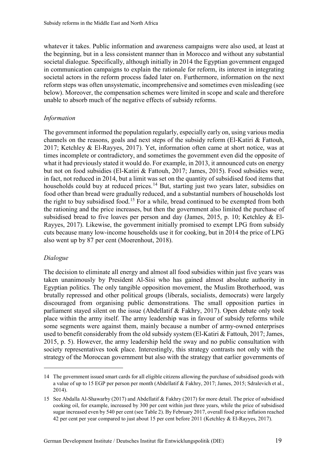reform steps was often unsystematic, incomprehensive and sometimes even misleading (see whatever it takes. Public information and awareness campaigns were also used, at least at the beginning, but in a less consistent manner than in Morocco and without any substantial societal dialogue. Specifically, although initially in 2014 the Egyptian government engaged in communication campaigns to explain the rationale for reform, its interest in integrating societal actors in the reform process faded later on. Furthermore, information on the next below). Moreover, the compensation schemes were limited in scope and scale and therefore unable to absorb much of the negative effects of subsidy reforms.

#### *Information*

 2017; Ketchley & El-Rayyes, 2017). Yet, information often came at short notice, was at times incomplete or contradictory, and sometimes the government even did the opposite of cuts because many low-income households use it for cooking, but in 2014 the price of LPG also went up by 87 per cent (Moerenhout, 2018). The government informed the population regularly, especially early on, using various media channels on the reasons, goals and next steps of the subsidy reform (El-Katiri & Fattouh, what it had previously stated it would do. For example, in 2013, it announced cuts on energy but not on food subsidies (El-Katiri & Fattouh, 2017; James, 2015). Food subsidies were, in fact, not reduced in 2014, but a limit was set on the quantity of subsidised food items that households could buy at reduced prices.<sup>14</sup> But, starting just two years later, subsidies on food other than bread were gradually reduced, and a substantial numbers of households lost the right to buy subsidised food.<sup>15</sup> For a while, bread continued to be exempted from both the rationing and the price increases, but then the government also limited the purchase of subsidised bread to five loaves per person and day (James, 2015, p. 10; Ketchley & El-Rayyes, 2017). Likewise, the government initially promised to exempt LPG from subsidy

#### *Dialogue*

 $\overline{a}$ 

 The decision to eliminate all energy and almost all food subsidies within just five years was 2015, p. 5). However, the army leadership held the sway and no public consultation with society representatives took place. Interestingly, this strategy contrasts not only with the taken unanimously by President Al-Sisi who has gained almost absolute authority in Egyptian politics. The only tangible opposition movement, the Muslim Brotherhood, was brutally repressed and other political groups (liberals, socialists, democrats) were largely discouraged from organising public demonstrations*.* The small opposition parties in parliament stayed silent on the issue (Abdellatif & Fakhry, 2017). Open debate only took place within the army itself. The army leadership was in favour of subsidy reforms while some segments were against them, mainly because a number of army-owned enterprises used to benefit considerably from the old subsidy system (El-Katiri  $\&$  Fattouh, 2017; James, strategy of the Moroccan government but also with the strategy that earlier governments of

<span id="page-25-0"></span> 14 The government issued smart cards for all eligible citizens allowing the purchase of subsidised goods with a value of up to 15 EGP per person per month (Abdellatif & Fakhry, 2017; James, 2015; Sdralevich et al., 2014).

<span id="page-25-1"></span> 15 See Abdalla Al-Shawarby (2017) and Abdellatif & Fakhry (2017) for more detail. The price of subsidised cooking oil, for example, increased by 300 per cent within just three years, while the price of subsidised sugar increased even by 540 per cent (see Table 2). By February 2017, overall food price inflation reached 42 per cent per year compared to just about 15 per cent before 2011 (Ketchley & El-Rayyes, 2017).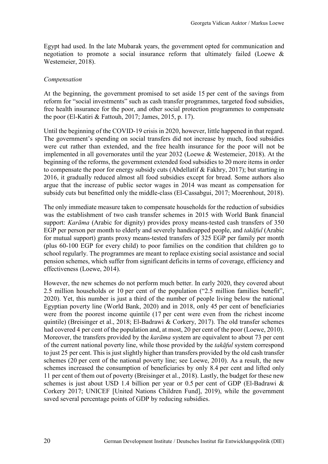negotiation to promote a social insurance reform that ultimately failed (Loewe & Egypt had used. In the late Mubarak years, the government opted for communication and Westemeier, 2018).

#### *Compensation*

 At the beginning, the government promised to set aside 15 per cent of the savings from free health insurance for the poor, and other social protection programmes to compensate the poor (El-Katiri & Fattouh, 2017; James, 2015, p. 17). reform for "social investments" such as cash transfer programmes, targeted food subsidies,

 were cut rather than extended, and the free health insurance for the poor will not be implemented in all governorates until the year 2032 (Loewe & Westemeier, 2018). At the beginning of the reforms, the government extended food subsidies to 20 more items in order Until the beginning of the COVID-19 crisis in 2020, however, little happened in that regard. The government's spending on social transfers did not increase by much, food subsidies to compensate the poor for energy subsidy cuts (Abdellatif & Fakhry, 2017); but starting in 2016, it gradually reduced almost all food subsidies except for bread. Some authors also argue that the increase of public sector wages in 2014 was meant as compensation for subsidy cuts but benefitted only the middle-class (El-Cassabgui, 2017; Moerenhout, 2018).

 support: *Karāma* (Arabic for dignity) provides proxy means-tested cash transfers of 350 pension schemes, which suffer from significant deficits in terms of coverage, efficiency and The only immediate measure taken to compensate households for the reduction of subsidies was the establishment of two cash transfer schemes in 2015 with World Bank financial EGP per person per month to elderly and severely handicapped people, and *takāful* (Arabic for mutual support) grants proxy means-tested transfers of 325 EGP per family per month (plus 60-100 EGP for every child) to poor families on the condition that children go to school regularly. The programmes are meant to replace existing social assistance and social effectiveness (Loewe, 2014).

 2.5 million households or 10 per cent of the population ("2.5 million families benefit", Egyptian poverty line (World Bank, 2020) and in 2018, only 45 per cent of beneficiaries were from the poorest income quintile (17 per cent were even from the richest income quintile) (Breisinger et al., 2018; El-Badrawi & Corkery, 2017). The old transfer schemes had covered 4 per cent of the population and, at most, 20 per cent of the poor (Loewe, 2010). Moreover, the transfers provided by the *karāma* system are equivalent to about 73 per cent schemes (20 per cent of the national poverty line; see Loewe, 2010). As a result, the new schemes increased the consumption of beneficiaries by only 8.4 per cent and lifted only 11 per cent of them out of poverty (Breisinger et al., 2018). Lastly, the budget for these new schemes is just about USD 1.4 billion per year or 0.5 per cent of GDP (El-Badrawi & However, the new schemes do not perform much better. In early 2020, they covered about 2020). Yet, this number is just a third of the number of people living below the national of the current national poverty line, while those provided by the *takāful* system correspond to just 25 per cent. This is just slightly higher than transfers provided by the old cash transfer Corkery 2017; UNICEF [United Nations Children Fund], 2019), while the government saved several percentage points of GDP by reducing subsidies.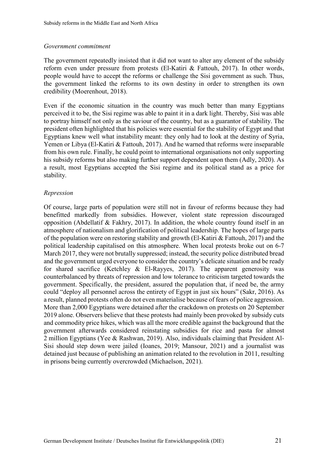#### *Government commitment*

The government repeatedly insisted that it did not want to alter any element of the subsidy reform even under pressure from protests (El-Katiri & Fattouh, 2017). In other words, people would have to accept the reforms or challenge the Sisi government as such. Thus, the government linked the reforms to its own destiny in order to strengthen its own credibility (Moerenhout, 2018).

 to portray himself not only as the saviour of the country, but as a guarantor of stability. The Even if the economic situation in the country was much better than many Egyptians perceived it to be, the Sisi regime was able to paint it in a dark light. Thereby, Sisi was able president often highlighted that his policies were essential for the stability of Egypt and that Egyptians knew well what instability meant: they only had to look at the destiny of Syria, Yemen or Libya (El-Katiri & Fattouh, 2017). And he warned that reforms were inseparable from his own rule. Finally, he could point to international organisations not only supporting his subsidy reforms but also making further support dependent upon them (Adly, 2020). As a result, most Egyptians accepted the Sisi regime and its political stand as a price for stability.

#### *Repression*

 government. Specifically, the president, assured the population that, if need be, the army could "deploy all personnel across the entirety of Egypt in just six hours" (Sakr, 2016). As Sisi should step down were jailed (Ioanes, 2019; Mansour, 2021) and a journalist was in prisons being currently overcrowded (Michaelson, 2021). Of course, large parts of population were still not in favour of reforms because they had benefitted markedly from subsidies. However, violent state repression discouraged opposition (Abdellatif & Fakhry, 2017). In addition, the whole country found itself in an atmosphere of nationalism and glorification of political leadership. The hopes of large parts of the population were on restoring stability and growth (El-Katiri & Fattouh, 2017) and the political leadership capitalised on this atmosphere. When local protests broke out on 6-7 March 2017, they were not brutally suppressed; instead, the security police distributed bread and the government urged everyone to consider the country's delicate situation and be ready for shared sacrifice (Ketchley  $\&$  El-Rayyes, 2017). The apparent generosity was counterbalanced by threats of repression and low tolerance to criticism targeted towards the a result, planned protests often do not even materialise because of fears of police aggression. More than 2,000 Egyptians were detained after the crackdown on protests on 20 September 2019 alone. Observers believe that these protests had mainly been provoked by subsidy cuts and commodity price hikes, which was all the more credible against the background that the government afterwards considered reinstating subsidies for rice and pasta for almost 2 million Egyptians (Yee & Rashwan, 2019). Also, individuals claiming that President Aldetained just because of publishing an animation related to the revolution in 2011, resulting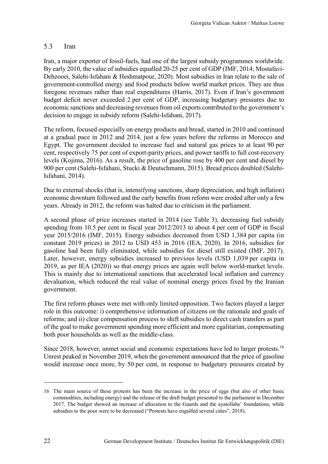#### <span id="page-28-0"></span> $5.3$ **Iran**

 By early 2010, the value of subsidies equalled 20-25 per cent of GDP (IMF, 2014; Mostafavi- Dehzooei, Salehi-Isfahani & Heshmatpour, 2020). Most subsidies in Iran relate to the sale of foregone revenues rather than real expenditures (Harris, 2017). Even if Iran's government budget deficit never exceeded 2 per cent of GDP, increasing budgetary pressures due to Iran, a major exporter of fossil-fuels, had one of the largest subsidy programmes worldwide. government-controlled energy and food products below world market prices. They are thus economic sanctions and decreasing revenues from oil exports contributed to the government's decision to engage in subsidy reform (Salehi-Isfahani, 2017).

 cent, respectively 75 per cent of export-parity prices, and power tariffs to full cost-recovery levels (Kojima, 2016). As a result, the price of gasoline rose by 400 per cent and diesel by 900 per cent (Salehi-Isfahani, Stucki & Deutschmann, 2015). Bread prices doubled (Salehi-The reform, focused especially on energy products and bread, started in 2010 and continued at a gradual pace in 2012 and 2014, just a few years before the reforms in Morocco and Egypt. The government decided to increase fuel and natural gas prices to at least 90 per Isfahani, 2014).

 economic downturn followed and the early benefits from reform were eroded after only a few Due to external shocks (that is, intensifying sanctions, sharp depreciation, and high inflation) years. Already in 2012, the reform was halted due to criticism in the parliament.

 A second phase of price increases started in 2014 (see Table 3), decreasing fuel subsidy spending from 10.5 per cent in fiscal year 2012/2013 to about 4 per cent of GDP in fiscal year 2015/2016 (IMF, 2015). Energy subsidies decreased from USD 1,384 per capita (in constant 2019 prices) in 2012 to USD 453 in 2016 (IEA, 2020). In 2016, subsidies for gasoline had been fully eliminated, while subsidies for diesel still existed (IMF, 2017). Later, however, energy subsidies increased to previous levels (USD 1,039 per capita in 2019, as per IEA (2020)) so that energy prices are again well below world-market levels. This is mainly due to international sanctions that accelerated local inflation and currency devaluation, which reduced the real value of nominal energy prices fixed by the Iranian government.

The first reform phases were met with only limited opposition. Two factors played a larger role in this outcome: i) comprehensive information of citizens on the rationale and goals of reforms; and ii) clear compensation process to shift subsidies to direct cash transfers as part of the goal to make government spending more efficient and more egalitarian, compensating both poor households as well as the middle-class.

 Unrest peaked in November 2019, when the government announced that the price of gasoline would increase once more, by 50 per cent, in response to budgetary pressures created by Since 2018, however, unmet social and economic expectations have led to larger protests.<sup>[16](#page-28-1)</sup>

 $\overline{a}$ 

<span id="page-28-1"></span> 16 The main source of these protests has been the increase in the price of eggs (but also of other basic 2017. The budget showed an increase of allocation to the Guards and the ayatollahs' foundations, while subsidies to the poor were to be decreased ("Protests have engulfed several cities", 2018). commodities, including energy) and the release of the draft budget presented to the parliament in December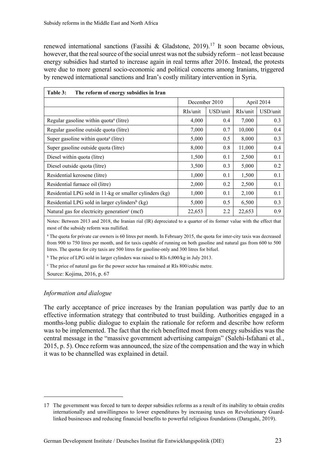renewed international sanctions (Fassihi & Gladstone, 2019).<sup>17</sup> It soon became obvious, however, that the real source of the social unrest was not the subsidy reform – not least because energy subsidies had started to increase again in real terms after 2016. Instead, the protests were due to more general socio-economic and political concerns among Iranians, triggered by renewed international sanctions and Iran's costly military intervention in Syria.

<span id="page-29-0"></span>

| Table 3:<br>The reform of energy subsidies in Iran         |               |          |            |          |  |
|------------------------------------------------------------|---------------|----------|------------|----------|--|
|                                                            | December 2010 |          | April 2014 |          |  |
|                                                            | RIs/unit      | USD/unit | RIs/unit   | USD/unit |  |
| Regular gasoline within quota <sup>a</sup> (litre)         | 4,000         | 0.4      | 7,000      | 0.3      |  |
| Regular gasoline outside quota (litre)                     | 7,000         | 0.7      | 10,000     | 0.4      |  |
| Super gasoline within quota <sup>a</sup> (litre)           | 5,000         | 0.5      | 8,000      | 0.3      |  |
| Super gasoline outside quota (litre)                       | 8,000         | 0.8      | 11,000     | 0.4      |  |
| Diesel within quota (litre)                                | 1,500         | 0.1      | 2,500      | 0.1      |  |
| Diesel outside quota (litre)                               | 3,500         | 0.3      | 5,000      | 0.2      |  |
| Residential kerosene (litre)                               | 1,000         | 0.1      | 1,500      | 0.1      |  |
| Residential furnace oil (litre)                            | 2,000         | 0.2      | 2,500      | 0.1      |  |
| Residential LPG sold in 11-kg or smaller cylinders (kg)    | 1,000         | 0.1      | 2,100      | 0.1      |  |
| Residential LPG sold in larger cylinders <sup>b</sup> (kg) | 5,000         | 0.5      | 6,500      | 0.3      |  |
| Natural gas for electricity generation <sup>c</sup> (mcf)  | 22,653        | 2.2      | 22,653     | 0.9      |  |

 Notes: Between 2013 and 2018, the Iranian rial (IR) depreciated to a quarter of its former value with the effect that most of the subsidy reform was nullified.

 litres. The quotas for city taxis are 500 litres for gasoline-only and 300 litres for bifuel. <sup>a</sup> The quota for private car owners is 60 litres per month. In February 2015, the quota for inter-city taxis was decreased from 900 to 750 litres per month, and for taxis capable of running on both gasoline and natural gas from 600 to 500

<sup>b</sup> The price of LPG sold in larger cylinders was raised to RIs 6,000/kg in July 2013.

c The price of natural gas for the power sector has remained at RIs 800/cubic metre.

Source: Kojima, 2016, p. 67

#### *Information and dialogue*

 $\overline{a}$ 

 was to be implemented. The fact that the rich benefitted most from energy subsidies was the central message in the "massive government advertising campaign" (Salehi-Isfahani et al., 2015, p. 5). Once reform was announced, the size of the compensation and the way in which it was to be channelled was explained in detail. The early acceptance of price increases by the Iranian population was partly due to an effective information strategy that contributed to trust building. Authorities engaged in a months-long public dialogue to explain the rationale for reform and describe how reform

<span id="page-29-1"></span> 17 The government was forced to turn to deeper subsidies reforms as a result of its inability to obtain credits internationally and unwillingness to lower expenditures by increasing taxes on Revolutionary Guardlinked businesses and reducing financial benefits to powerful religious foundations (Daragahi, 2019).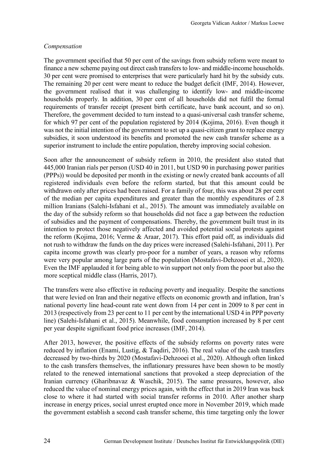#### *Compensation*

 The government specified that 50 per cent of the savings from subsidy reform were meant to 30 per cent were promised to enterprises that were particularly hard hit by the subsidy cuts. The remaining 20 per cent were meant to reduce the budget deficit (IMF, 2014). However, households properly. In addition, 30 per cent of all households did not fulfil the formal for which 97 per cent of the population registered by 2014 (Kojima, 2016). Even though it finance a new scheme paying out direct cash transfers to low- and middle-income households. the government realised that it was challenging to identify low- and middle-income requirements of transfer receipt (present birth certificate, have bank account, and so on). Therefore, the government decided to turn instead to a quasi-universal cash transfer scheme, was not the initial intention of the government to set up a quasi-citizen grant to replace energy subsidies, it soon understood its benefits and promoted the new cash transfer scheme as a superior instrument to include the entire population, thereby improving social cohesion.

 Soon after the announcement of subsidy reform in 2010, the president also stated that (PPPs)) would be deposited per month in the existing or newly created bank accounts of all withdrawn only after prices had been raised. For a family of four, this was about 28 per cent the day of the subsidy reform so that households did not face a gap between the reduction capita income growth was clearly pro-poor for a number of years, a reason why reforms were very popular among large parts of the population (Mostafavi-Dehzooei et al., 2020). 445,000 Iranian rials per person (USD 40 in 2011, but USD 90 in purchasing power parities registered individuals even before the reform started, but that this amount could be of the median per capita expenditures and greater than the monthly expenditures of 2.8 million Iranians (Salehi-Isfahani et al., 2015). The amount was immediately available on of subsidies and the payment of compensations. Thereby, the government built trust in its intention to protect those negatively affected and avoided potential social protests against the reform (Kojima, 2016; Verme & Araar, 2017). This effort paid off, as individuals did not rush to withdraw the funds on the day prices were increased (Salehi-Isfahani, 2011). Per Even the IMF applauded it for being able to win support not only from the poor but also the more sceptical middle class (Harris, 2017).

 that were levied on Iran and their negative effects on economic growth and inflation, Iran's national poverty line head-count rate went down from 14 per cent in 2009 to 8 per cent in 2013 (respectively from 23 per cent to 11 per cent by the international USD 4 in PPP poverty line) (Salehi-Isfahani et al., 2015). Meanwhile, food consumption increased by 8 per cent The transfers were also effective in reducing poverty and inequality. Despite the sanctions per year despite significant food price increases (IMF, 2014).

After 2013, however, the positive effects of the subsidy reforms on poverty rates were reduced by inflation (Enami, Lustig, & Taqdiri, 2016). The real value of the cash transfers decreased by two-thirds by 2020 (Mostafavi-Dehzooei et al., 2020). Although often linked to the cash transfers themselves, the inflationary pressures have been shown to be mostly related to the renewed international sanctions that provoked a steep depreciation of the Iranian currency (Gharibnavaz & Waschik, 2015). The same pressures, however, also reduced the value of nominal energy prices again, with the effect that in 2019 Iran was back close to where it had started with social transfer reforms in 2010. After another sharp increase in energy prices, social unrest erupted once more in November 2019, which made the government establish a second cash transfer scheme, this time targeting only the lower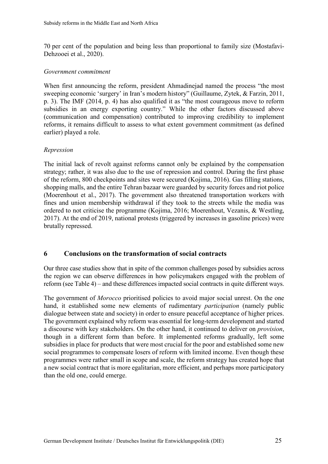70 per cent of the population and being less than proportional to family size (Mostafavi-Dehzooei et al., 2020).

#### *Government commitment*

 p. 3). The IMF (2014, p. 4) has also qualified it as "the most courageous move to reform earlier) played a role. When first announcing the reform, president Ahmadinejad named the process "the most sweeping economic 'surgery' in Iran's modern history" (Guillaume, Zytek, & Farzin, 2011, subsidies in an energy exporting country." While the other factors discussed above (communication and compensation) contributed to improving credibility to implement reforms, it remains difficult to assess to what extent government commitment (as defined

#### *Repression*

 fines and union membership withdrawal if they took to the streets while the media was The initial lack of revolt against reforms cannot only be explained by the compensation strategy; rather, it was also due to the use of repression and control. During the first phase of the reform, 800 checkpoints and sites were secured (Kojima, 2016). Gas filling stations, shopping malls, and the entire Tehran bazaar were guarded by security forces and riot police (Moerenhout et al., 2017). The government also threatened transportation workers with ordered to not criticise the programme (Kojima, 2016; Moerenhout, Vezanis, & Westling, 2017). At the end of 2019, national protests (triggered by increases in gasoline prices) were brutally repressed.

#### <span id="page-31-0"></span>**6 Conclusions on the transformation of social contracts**

 reform (see Table 4) – and these differences impacted social contracts in quite different ways. Our three case studies show that in spite of the common challenges posed by subsidies across the region we can observe differences in how policymakers engaged with the problem of

The government of *Morocco* prioritised policies to avoid major social unrest. On the one hand, it established some new elements of rudimentary *participation* (namely public dialogue between state and society) in order to ensure peaceful acceptance of higher prices. The government explained why reform was essential for long-term development and started a discourse with key stakeholders. On the other hand, it continued to deliver on *provision*, though in a different form than before. It implemented reforms gradually, left some subsidies in place for products that were most crucial for the poor and established some new social programmes to compensate losers of reform with limited income. Even though these programmes were rather small in scope and scale, the reform strategy has created hope that a new social contract that is more egalitarian, more efficient, and perhaps more participatory than the old one, could emerge.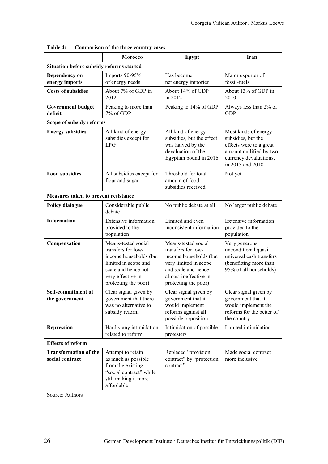<span id="page-32-0"></span>

| Table 4:<br>Comparison of the three country cases |                                                                                                                                                                 |                                                                                                                                                                      |                                                                                                                                                |  |  |  |  |  |
|---------------------------------------------------|-----------------------------------------------------------------------------------------------------------------------------------------------------------------|----------------------------------------------------------------------------------------------------------------------------------------------------------------------|------------------------------------------------------------------------------------------------------------------------------------------------|--|--|--|--|--|
| <b>Morocco</b>                                    |                                                                                                                                                                 | Egypt                                                                                                                                                                | Iran                                                                                                                                           |  |  |  |  |  |
| Situation before subsidy reforms started          |                                                                                                                                                                 |                                                                                                                                                                      |                                                                                                                                                |  |  |  |  |  |
| Dependency on<br>energy imports                   | Imports 90-95%<br>of energy needs                                                                                                                               | Has become<br>net energy importer                                                                                                                                    | Major exporter of<br>fossil-fuels                                                                                                              |  |  |  |  |  |
| <b>Costs of subsidies</b>                         | About 7% of GDP in<br>2012                                                                                                                                      | About 14% of GDP<br>in 2012                                                                                                                                          | About 13% of GDP in<br>2010                                                                                                                    |  |  |  |  |  |
| <b>Government budget</b><br>deficit               | Peaking to more than<br>7% of GDP                                                                                                                               | Peaking to 14% of GDP                                                                                                                                                | Always less than 2% of<br><b>GDP</b>                                                                                                           |  |  |  |  |  |
| Scope of subsidy reforms                          |                                                                                                                                                                 |                                                                                                                                                                      |                                                                                                                                                |  |  |  |  |  |
| <b>Energy subsidies</b>                           | All kind of energy<br>subsidies except for<br><b>LPG</b>                                                                                                        | All kind of energy<br>subsidies, but the effect<br>was halved by the<br>devaluation of the<br>Egyptian pound in 2016                                                 | Most kinds of energy<br>subsidies, but the<br>effects were to a great<br>amount nullified by two<br>currency devaluations,<br>in 2013 and 2018 |  |  |  |  |  |
| <b>Food subsidies</b>                             | All subsidies except for<br>flour and sugar                                                                                                                     | Threshold for total<br>amount of food<br>subsidies received                                                                                                          | Not yet                                                                                                                                        |  |  |  |  |  |
| Measures taken to prevent resistance              |                                                                                                                                                                 |                                                                                                                                                                      |                                                                                                                                                |  |  |  |  |  |
| Policy dialogue                                   | Considerable public<br>debate                                                                                                                                   | No public debate at all                                                                                                                                              | No larger public debate                                                                                                                        |  |  |  |  |  |
| <b>Information</b>                                | <b>Extensive information</b><br>provided to the<br>population                                                                                                   | Limited and even<br>inconsistent information                                                                                                                         | <b>Extensive information</b><br>provided to the<br>population                                                                                  |  |  |  |  |  |
| Compensation                                      | Means-tested social<br>transfers for low-<br>income households (but<br>limited in scope and<br>scale and hence not<br>very effective in<br>protecting the poor) | Means-tested social<br>transfers for low-<br>income households (but<br>very limited in scope<br>and scale and hence<br>almost ineffective in<br>protecting the poor) | Very generous<br>unconditional quasi<br>universal cash transfers<br>(benefitting more than<br>95% of all households)                           |  |  |  |  |  |
| Self-commitment of<br>the government              | Clear signal given by<br>government that there<br>was no alternative to<br>subsidy reform                                                                       | Clear signal given by<br>government that it<br>would implement<br>reforms against all<br>possible opposition                                                         | Clear signal given by<br>government that it<br>would implement the<br>reforms for the better of<br>the country                                 |  |  |  |  |  |
| <b>Repression</b>                                 | Hardly any intimidation<br>related to reform                                                                                                                    | Intimidation of possible<br>protesters                                                                                                                               | Limited intimidation                                                                                                                           |  |  |  |  |  |
| <b>Effects of reform</b>                          |                                                                                                                                                                 |                                                                                                                                                                      |                                                                                                                                                |  |  |  |  |  |
| <b>Transformation of the</b><br>social contract   | Attempt to retain<br>as much as possible<br>from the existing<br>"social contract" while<br>still making it more<br>affordable                                  | Replaced "provision<br>contract" by "protection<br>contract"                                                                                                         | Made social contract<br>more inclusive                                                                                                         |  |  |  |  |  |
| Source: Authors                                   |                                                                                                                                                                 |                                                                                                                                                                      |                                                                                                                                                |  |  |  |  |  |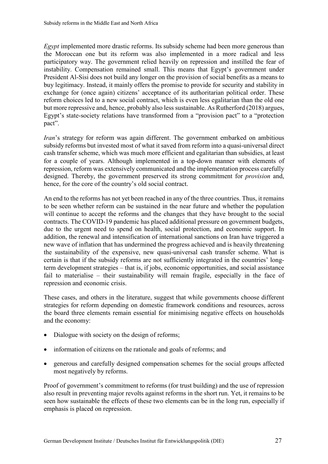instability. Compensation remained small. This means that Egypt's government under buy legitimacy. Instead, it mainly offers the promise to provide for security and stability in but more repressive and, hence, probably also less sustainable. As Rutherford (2018) argues, *Egypt* implemented more drastic reforms. Its subsidy scheme had been more generous than the Moroccan one but its reform was also implemented in a more radical and less participatory way. The government relied heavily on repression and instilled the fear of President Al-Sisi does not build any longer on the provision of social benefits as a means to exchange for (once again) citizens' acceptance of its authoritarian political order. These reform choices led to a new social contract, which is even less egalitarian than the old one Egypt's state-society relations have transformed from a "provision pact" to a "protection pact".

 *Iran*'s strategy for reform was again different. The government embarked on ambitious cash transfer scheme, which was much more efficient and egalitarian than subsidies, at least subsidy reforms but invested most of what it saved from reform into a quasi-universal direct for a couple of years. Although implemented in a top-down manner with elements of repression, reform was extensively communicated and the implementation process carefully designed. Thereby, the government preserved its strong commitment for *provision* and, hence, for the core of the country's old social contract.

 certain is that if the subsidy reforms are not sufficiently integrated in the countries' long- term development strategies – that is, if jobs, economic opportunities, and social assistance fail to materialise – their sustainability will remain fragile, especially in the face of An end to the reforms has not yet been reached in any of the three countries. Thus, it remains to be seen whether reform can be sustained in the near future and whether the population will continue to accept the reforms and the changes that they have brought to the social contracts. The COVID-19 pandemic has placed additional pressure on government budgets, due to the urgent need to spend on health, social protection, and economic support. In addition, the renewal and intensification of international sanctions on Iran have triggered a new wave of inflation that has undermined the progress achieved and is heavily threatening the sustainability of the expensive, new quasi-universal cash transfer scheme. What is repression and economic crisis.

These cases, and others in the literature, suggest that while governments choose different strategies for reform depending on domestic framework conditions and resources, across the board three elements remain essential for minimising negative effects on households and the economy:

- Dialogue with society on the design of reforms;
- information of citizens on the rationale and goals of reforms; and
- generous and carefully designed compensation schemes for the social groups affected most negatively by reforms.

 also result in preventing major revolts against reforms in the short run. Yet, it remains to be Proof of government's commitment to reforms (for trust building) and the use of repression seen how sustainable the effects of these two elements can be in the long run, especially if emphasis is placed on repression.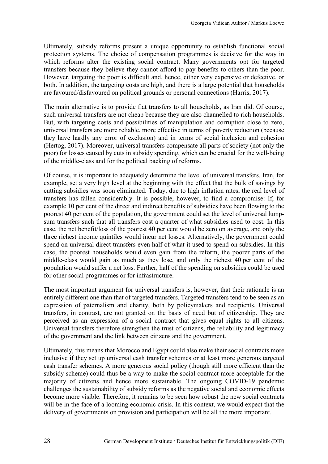protection systems. The choice of compensation programmes is decisive for the way in Ultimately, subsidy reforms present a unique opportunity to establish functional social which reforms alter the existing social contract. Many governments opt for targeted transfers because they believe they cannot afford to pay benefits to others than the poor. However, targeting the poor is difficult and, hence, either very expensive or defective, or both. In addition, the targeting costs are high, and there is a large potential that households are favoured/disfavoured on political grounds or personal connections (Harris, 2017).

 they have hardly any error of exclusion) and in terms of social inclusion and cohesion The main alternative is to provide flat transfers to all households, as Iran did. Of course, such universal transfers are not cheap because they are also channelled to rich households. But, with targeting costs and possibilities of manipulation and corruption close to zero, universal transfers are more reliable, more effective in terms of poverty reduction (because (Hertog, 2017). Moreover, universal transfers compensate all parts of society (not only the poor) for losses caused by cuts in subsidy spending, which can be crucial for the well-being of the middle-class and for the political backing of reforms.

 example, set a very high level at the beginning with the effect that the bulk of savings by example 10 per cent of the direct and indirect benefits of subsidies have been flowing to the poorest 40 per cent of the population, the government could set the level of universal lump- case, the net benefit/loss of the poorest 40 per cent would be zero on average, and only the middle-class would gain as much as they lose, and only the richest 40 per cent of the Of course, it is important to adequately determine the level of universal transfers. Iran, for cutting subsidies was soon eliminated. Today, due to high inflation rates, the real level of transfers has fallen considerably. It is possible, however, to find a compromise: If, for sum transfers such that all transfers cost a quarter of what subsidies used to cost. In this three richest income quintiles would incur net losses. Alternatively, the government could spend on universal direct transfers even half of what it used to spend on subsidies. In this case, the poorest households would even gain from the reform, the poorer parts of the population would suffer a net loss. Further, half of the spending on subsidies could be used for other social programmes or for infrastructure.

 transfers, in contrast, are not granted on the basis of need but of citizenship. They are The most important argument for universal transfers is, however, that their rationale is an entirely different one than that of targeted transfers. Targeted transfers tend to be seen as an expression of paternalism and charity, both by policymakers and recipients. Universal perceived as an expression of a social contract that gives equal rights to all citizens. Universal transfers therefore strengthen the trust of citizens, the reliability and legitimacy of the government and the link between citizens and the government.

 will be in the face of a looming economic crisis. In this context, we would expect that the Ultimately, this means that Morocco and Egypt could also make their social contracts more inclusive if they set up universal cash transfer schemes or at least more generous targeted cash transfer schemes. A more generous social policy (though still more efficient than the subsidy scheme) could thus be a way to make the social contract more acceptable for the majority of citizens and hence more sustainable. The ongoing COVID-19 pandemic challenges the sustainability of subsidy reforms as the negative social and economic effects become more visible. Therefore, it remains to be seen how robust the new social contracts delivery of governments on provision and participation will be all the more important.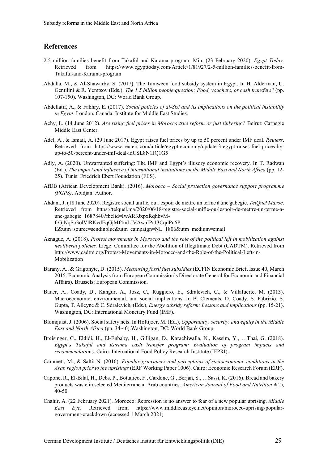#### <span id="page-35-0"></span>**References**

- 2.5 million families benefit from Takaful and Karama program: Min. (23 February 2020). *Egypt Today.*  Retrieved from [https://www.egypttoday.com/Article/1/81927/2-5-million-families-benefit-from-](https://www.egypttoday.com/Article/1/81927/2-5-million-families-benefit-from)Takaful-and-Karama-program
- Abdalla, M., & Al-Shawarby, S. (2017). The Tamween food subsidy system in Egypt. In H. Alderman, U. 107-150). Washington, DC: World Bank Group. Gentilini & R. Yemtsov (Eds.), *The 1.5 billion people question: Food, vouchers, or cash transfers?* (pp.
- Abdellatif, A., & Fakhry, E. (2017). *Social policies of al-Sisi and its implications on the political instability in Egypt*. London, Canada: Institute for Middle East Studies.
- Achy, L. (14 June 2012). *Are rising fuel prices in Morocco true reform or just tinkering?* Beirut: Carnegie Middle East Center.
- Adel, A., & Ismail, A. (29 June 2017). Egypt raises fuel prices by up to 50 percent under IMF deal. *Reuters*. Retrieved from <https://www.reuters.com/article/egypt-economy/update-3-egypt-raises-fuel-prices-by>up-to-50-percent-under-imf-deal-idUSL8N1JQ1G5
- 25). Tunis: Friedrich Ebert Foundation (FES). Adly, A. (2020). Unwarranted suffering: The IMF and Egypt's illusory economic recovery. In T. Radwan (Ed.), *The impact and influence of international institutions on the Middle East and North Africa* (pp. 12-
- AfDB (African Development Bank). (2016). *Morocco Social protection governance support programme (PGPS)*. Abidjan: Author.
- Ahdani, J. (18 June 2020). Registre social unifié, ou l'espoir de mettre un terme à une gabegie. *TelQuel Maroc*. Retrieved from <https://telquel.ma/2020/06/18/registre-social-unifie-ou-lespoir-de-mettre-un-terme-a>une-gabegie\_1687840?fbclid=IwAR3JxpxRqhbvMfrGjNqSo3olVlRKvdEqGjMf4mLJVAwaIPr13CqdPn6P-E&utm\_source=sendinblue&utm\_campaign=NL\_1806&utm\_medium=email
- Aznague, A. (2018). *Protest movements in Morocco and the role of the political left in mobilization against neoliberal policies.* Liège: Committee for the Abolition of Illegitimate Debt (CADTM). Retrieved from [http://www.cadtm.org/Protest-Movements-in-Morocco-and-the-Role-of-the-Political-Left-in-](http://www.cadtm.org/Protest-Movements-in-Morocco-and-the-Role-of-the-Political-Left-in)Mobilization
- 2015. Economic Analysis from European Commission's Directorate General for Economic and Financial Barany, A., & Grigonyte, D. (2015). *Measuring fossil fuel subsidies* (ECFIN Economic Brief, Issue 40, March Affairs). Brussels: European Commission.
- Washington, DC: International Monetary Fund (IMF). Bauer, A., Coady, D., Kangur, A., Josz, C., Ruggiero, E., Sdralevich, C., & Villafuerte, M. (2013). Macroeconomic, environmental, and social implications. In B. Clements, D. Coady, S. Fabrizio, S. Gupta, T. Alleyne & C. Sdralevich, (Eds.), *Energy subsidy reform: Lessons and implications* (pp. 15-21).
- *East and North Africa* (pp. 34-40).Washington, DC: World Bank Group. Blomquist, J. (2006). Social safety nets. In Hoftijzer, M. (Ed.), *Opportunity, security, and equity in the Middle*
- Breisinger, C., Eldidi, H., El-Enbaby, H., Gilligan, D., Karachiwalla, N., Kassim, Y., …Thai, G. (2018). *Egypt's Takaful and Karama cash transfer program: Evaluation of program impacts and recommendatio*ns. Cairo: International Food Policy Research Institute (IFPRI).
- *Arab region prior to the uprisings* (ERF Working Paper 1006). Cairo: Economic Research Forum (ERF). Cammett, M., & Salti, N. (2016). *Popular grievances and perceptions of socioeconomic conditions in the*
- Capone, R., El-Bilal, H., Debs, P., Bottalico, F., Cardone, G., Berjan, S., …Sassi, K. (2016). Bread and bakery products waste in selected Mediterranean Arab countries. *American Journal of Food and Nutrition 4*(2), 40-50.
- *East Eye*. Retrieved from [https://www.middleeasteye.net/opinion/morocco-uprising-popular-](https://www.middleeasteye.net/opinion/morocco-uprising-popular-government-crackdown)Chahir, A. (22 February 2021). Morocco: Repression is no answer to fear of a new popular uprising. *Middle*  [government-crackdown](https://www.middleeasteye.net/opinion/morocco-uprising-popular-government-crackdown) (accessed 1 March 2021)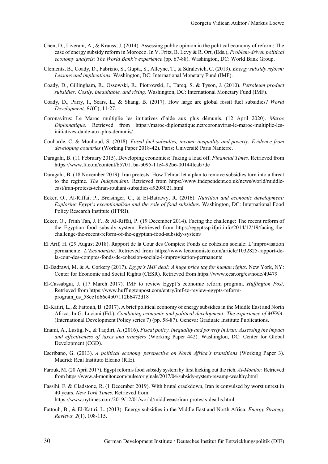- case of energy subsidy reform in Morocco. In V. Fritz, B. Levy & R. Ort, (Eds.), *Problem-driven political economy analysis: The World Bank's experience* (pp. 67-88). Washington, DC: World Bank Group. Chen, D., Liverani, A., & Krauss, J. (2014). Assessing public opinion in the political economy of reform: The
- *Lessons and implications*. Washington, DC: International Monetary Fund (IMF). Clements, B., Coady, D., Fabrizio, S., Gupta, S., Alleyne, T., & Sdralevich, C. (2013). *Energy subsidy reform:*
- *subsidies: Costly, inequitable, and rising*. Washington, DC: International Monetary Fund (IMF). Coady, D., Gillingham, R., Ossowski, R., Piotrowski, J., Tareq, S. & Tyson, J. (2010). *Petroleum product*
- Coady, D., Parry, I., Sears, L., & Shang, B. (2017). How large are global fossil fuel subsidies? *World Development, 91*(C), 11-27.
- Coronavirus: Le Maroc multiplie les initiatives d'aide aux plus démunis. (12 April 2020). *Maroc Diplomatique*. Retrieved from <https://maroc-diplomatique.net/coronavirus-le-maroc-multiplie-les>initiatives-daide-aux-plus-demunis/
- Couharde, C. & Mouhoud, S. (2018). *Fossil fuel subsidies, income inequality and poverty: Evidence from developing countries* (Working Paper 2018-42). Paris: Université Paris Nanterre.
- https://www.ft.com/content/b57011ba-b095-11e4-92b6-00144feab7de Daragahi, B. (11 February 2015). Developing economies: Taking a load off. *Financial Times*. Retrieved from
- Daragahi, B. (18 November 2019). Iran protests: How Tehran let a plan to remove subsidies turn into a threat to the regime. *The Independent*. Retrieved from <https://www.independent.co.uk/news/world/middle>east/iran-protests-tehran-rouhani-subsidies-a9208021.html
- Policy Research Institute (IFPRI). Ecker, O., Al-Riffai, P., Breisinger, C., & El-Batrawy, R. (2016). *Nutrition and economic development: Exploring Egypt's exceptionalism and the role of food subsidies*. Washington, DC: International Food
- Ecker, O., Trinh Tan, J. F., & Al-Riffai, P. (19 December 2014). Facing the challenge: The recent reform of the Egyptian food subsidy system. Retrieved from <https://egyptssp.ifpri.info/2014/12/19/facing-the>challenge-the-recent-reform-of-the-egyptian-food-subsidy-system/
- El Arif, H. (29 August 2018). Rapport de la Cour des Comptes: Fonds de cohésion sociale: L'improvisation permanente. *L'Economiste*. Retrieved from <https://www.leconomiste.com/article/1032825-rapport-de>la-cour-des-comptes-fonds-de-cohesion-sociale-l-improvisation-permanente
- El-Badrawi, M. & A. Corkery (2017). *Egypt's IMF deal: A huge price tag for human rights*. New York, NY: Center for Economic and Social Rights (CESR). Retrieved from <https://www.cesr.org/es/node/49479>
- Retrieved from [https://www.huffingtonpost.com/entry/imf-to-review-egypts-reform-](https://www.huffingtonpost.com/entry/imf-to-review-egypts-reform)El-Cassabgui, J. (17 March 2017). IMF to review Egypt's economic reform program. *Huffington Post*. program\_us\_58cc1d66e4b07112b6472d18
- (International Development Policy series 7) (pp. 58-87). Geneva: Graduate Institute Publications. El-Katiri, L., & Fattouh, B. (2017). A brief political economy of energy subsidies in the Middle East and North Africa. In G. Luciani (Ed.), *Combining economic and political development: The experience of MENA.*
- Development (CGD). Enami, A., Lustig, N., & Taqdiri, A. (2016). *Fiscal policy, inequality and poverty in Iran: Assessing the impact and effectiveness of taxes and transfers* (Working Paper 442). Washington, DC: Center for Global
- Madrid: Real Instituto Elcano (RIE). Escribano, G. (2013). *A political economy perspective on North Africa's transitions* (Working Paper 3).
- Farouk, M. (20 April 2017). Egypt reforms food subsidy system by first kicking out the rich. *Al-Monitor*. Retrieved from<https://www.al-monitor.com/pulse/originals/2017/04/subsidy-system-revamp-wealthy.html>
- 40 years. New York Times. Retrieved from Fassihi, F. & Gladstone, R. (1 December 2019). With brutal crackdown, Iran is convulsed by worst unrest in <https://www.nytimes.com/2019/12/01/world/middleeast/iran-protests-deaths.html>
- Fattouh, B., & El-Katiri, L. (2013). Energy subsidies in the Middle East and North Africa. *Energy Strategy Reviews, 2*(1), 108-115.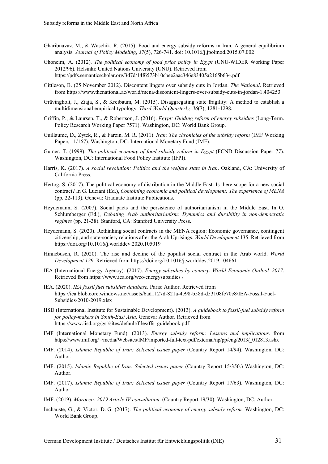- Gharibnavaz, M., & Waschik, R. (2015). Food and energy subsidy reforms in Iran. A general equilibrium analysis. *Journal of Policy Modeling*, *37*(5), 726-741. doi: 10.1016/j.jpolmod.2015.07.002
- 2012/96). Helsinki: United Nations University (UNU). Retrieved from Ghoneim, A. (2012). *The political economy of food price policy in Egypt* (UNU-WIDER Working Paper https://pdfs.semanticscholar.org/3d7d/14f6573b10cbee2aac346e83405a2165b634.pdf
- Gittleson, B. (25 November 2012). Discontent lingers over subsidy cuts in Jordan. *The National*. Retrieved from<https://www.thenational.ae/world/mena/discontent-lingers-over-subsidy-cuts-in-jordan-1.404253>
- Grävingholt, J., Ziaja, S., & Kreibaum, M. (2015). Disaggregating state fragility: A method to establish a multidimensional empirical typology. *Third World Quarterly, 36*(7), 1281-1298.
- Policy Research Working Paper 7571). Washington, DC: World Bank Group. Griffin, P., & Laursen, T., & Robertson, J. (2016). *Egypt: Guiding reform of energy subsidies* (Long-Term.
- Papers 11/167). Washington, DC: International Monetary Fund (IMF). Guillaume, D., Zytek, R., & Farzin, M. R. (2011). *Iran: The chronicles of the subsidy reform* (IMF Working
- Gutner, T. (1999). *The political economy of food subsidy reform in Egypt* (FCND Discussion Paper 77). Washington, DC: International Food Policy Institute (IFPI).
- Harris, K. (2017). *A social revolution: Politics and the welfare state in Iran*. Oakland, CA: University of California Press.
- Hertog, S. (2017). The political economy of distribution in the Middle East: Is there scope for a new social contract? In G. Luciani (Ed.), *Combining economic and political development: The experience of MENA*  (pp. 22-113). Geneva: Graduate Institute Publications.
- Heydemann, S. (2007). Social pacts and the persistence of authoritarianism in the Middle East. In O. Schlumberger (Ed.), *Debating Arab authoritarianism: Dynamics and durability in non-democratic regimes* (pp. 21-38). Stanford, CA: Stanford University Press.
- Heydemann, S. (2020). Rethinking social contracts in the MENA region: Economic governance, contingent citizenship, and state-society relations after the Arab Uprisings. *World Development* 135. Retrieved from <https://doi.org/10.1016/j.worlddev.2020.105019>
- Hinnebusch, R. (2020). The rise and decline of the populist social contract in the Arab world. *World Development 129*. Retrieved from <https://doi.org/10.1016/j.worlddev.2019.104661>
- IEA (International Energy Agency). (2017). *Energy subsidies by country. World Economic Outlook 2017*. Retrieved from<https://www.iea.org/weo/energysubsidies>/
- IEA. (2020). IEA fossil fuel subsidies database. Paris: Author. Retrieved from <https://iea.blob.core.windows.net/assets/6ad1127d-821a-4c98-b58d-d53108fe70c8/IEA-Fossil-Fuel>-Subsidies-2010-2019.xlsx
- for policy-makers in South-East Asia. Geneva: Author. Retrieved from IISD (International Institute for Sustainable Development). (2013). *A guidebook to fossil-fuel subsidy reform [https://www.iisd.org/gsi/sites/default/files/ffs\\_guidebook.pdf](https://www.iisd.org/gsi/sites/default/files/ffs_guidebook.pdf)*
- IMF (International Monetary Fund). (2013). *Energy subsidy reform: Lessons and implications.* from [https://www.imf.org/~/media/Websites/IMF/imported-full-text-pdf/external/np/pp/eng/2013/\\_012813.ashx](https://www.imf.org/~/media/Websites/IMF/imported-full-text-pdf/external/np/pp/eng/2013/_012813.ashx)
- IMF. (2014). *Islamic Republic of Iran: Selected issues paper* (Country Report 14/94). Washington, DC: Author.
- IMF. (2015). *Islamic Republic of Iran: Selected issues paper* (Country Report 15/350.) Washington, DC: Author.
- IMF. (2017). *Islamic Republic of Iran: Selected issues paper* (Country Report 17/63). Washington, DC: Author.
- IMF. (2019). *Morocco: 2019 Article IV consultation*. (Country Report 19/30). Washington, DC: Author.
- World Bank Group. Inchauste, G., & Victor, D. G. (2017). *The political economy of energy subsidy reform.* Washington, DC: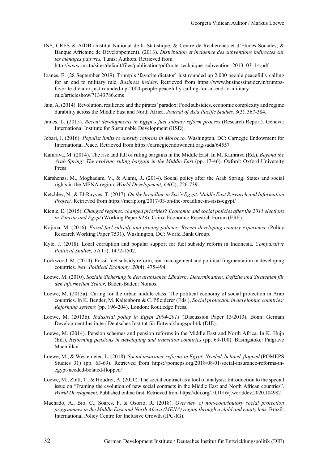- INS, CRES & AfDB (Institut National de la Statistique, & Centre de Recherches et d'Etudes Sociales, &  *les ménages pauvres.* Tunis: Authors. Retrieved from http://www.ins.tn/sites/default/files/publication/pdf/note technique subvention 2013 03 14.pdf Banque Africaine de Développement). (2013). *Distribution et incidence des subventions indirectes sur*
- hottes, E. (28 September 2019). Trump's 'favorite dictator' just rounded up 2,000 people peacefully calling for an end to military rule. *Business insider*. Retrieved from <https://www.businessinsider.in/trumps>favorite-dictator-just-rounded-up-2000-people-peacefully-calling-for-an-end-to-militaryrule/articleshow/71343786.cms
- durability across the Middle East and North Africa. *Journal of Asia Pacific Studies, 3*(3), 367-384. Jain, A. (2014). Revolution, resilience and the pirates' paradox: Food subsidies, economic complexity and regime
- International Institute for Sustainable Development (IISD). James, L. (2015). *Recent developments in Egypt's fuel subsidy reform process* (Research Report). Geneva:
- Jebari, I. (2016). *Populist limits to subsidy reforms in Morocco.* Washington, DC: Carnegie Endowment for International Peace. Retrieved from<https://carnegieendowment.org/sada/64557>
- Kamrava, M. (2014). The rise and fall of ruling bargains in the Middle East. In M. Kamrava (Ed.), *Beyond the Arab Spring: The evolving ruling bargain in the Middle East* (pp. 17-46). Oxford: Oxford University Press.
- rights in the MENA region. *World Development, 64*(C), 726-739. Karshenas, M., Moghadam, V., & Alami, R. (2014). Social policy after the Arab Spring: States and social
- Ketchley, N., & El-Rayyes, T. (2017). *On the breadline in Sisi's Egypt*. *Middle East Research and Information Project.* Retrieved from<https://merip.org/2017/03/on-the-breadline-in-sisis-egypt>/
- *in Tunisia and Egypt* (Working Paper 928). Cairo: Economic Research Forum (ERF). Kienle, E. (2015). *Changed regimes, changed priorities? Economic and social policies after the 2011 elections*
- Research Working Paper 7531). Washington, DC: World Bank Group. Kojima, M. (2016). *Fossil fuel subsidy and pricing policies: Recent developing country experience* (Policy
- Kyle, J. (2018). Local corruption and popular support for fuel subsidy reform in Indonesia. *Comparative Political Studies, 51*(11), 1472-1502.
- Lockwood, M. (2014). Fossil fuel subsidy reform, rent management and political fragmentation in developing countries. *New Political Economy, 20*(4), 475-494.
- Loewe, M. (2010). *Soziale Sicherung in den arabischen Ländern: Determinanten, Defizite und Strategien für den informellen Sektor*. Baden-Baden: Nomos.
- Loewe, M. (2013a). Caring for the urban middle class: The political economy of social protection in Arab countries. In K. Bender, M. Kaltenborn & C. Pfleiderer (Eds.), *Social protection in developing countries: Reforming systems* (pp. 196-204). London: Routledge Press.
- Loewe, M. (2013b). *Industrial policy in Egypt 2004-2011* (Discussion Paper 13/2013). Bonn: German Development Institute / Deutsches Institut für Entwicklungspolitik (DIE).
- Loewe, M. (2014). Pension schemes and pension reforms in the Middle East and North Africa. In K. Hujo (Ed.), *Reforming pensions in developing and transition countries* (pp. 69-100). Basingstoke: Palgrave Macmillan.
- Studies 31) (pp. 63-69). Retrieved from <https://pomeps.org/2018/08/01/social-insurance-reforms-in>-Loewe, M., & Westemeier, L. (2018). *Social insurance reforms in Egypt: Needed, belated, flopped* (POMEPS egypt-needed-belated-flopped/
- *World Development*. Published online first. Retrieved from <https://doi.org/10.1016/j.worlddev.2020.104982> Loewe, M., Zintl, T., & Houdret, A. (2020). The social contract as a tool of analysis: Introduction to the special issue on "Framing the evolution of new social contracts in the Middle East and North African countries".
- Machado, A., Bio, C., Soares, F. & Osorio, R. (2018). *Overview of non-contributory social protection programmes in the Middle East and North Africa (MENA) region through a child and equity lens*. Brazil: International Policy Centre for Inclusive Growth (IPC-IG).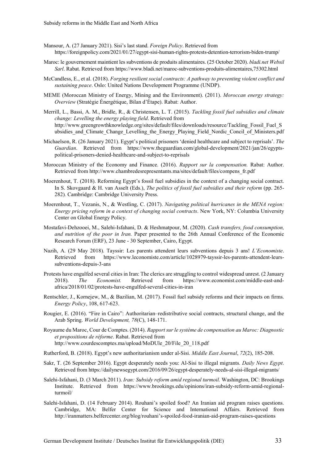- Mansour, A. (27 January 2021). Sisi's last stand. Foreign Policy. Retrieved from [https://foreignpolicy.com/2021/01/27/egypt-sisi-human-rights-protests-detention-terrorism-biden-trump/](https://foreignpolicy.com/2021/01/27/egypt-sisi-human-rights-protests-detention-terrorism-biden-trump)
- Maroc: le gouvernement maintient les subventions de produits alimentaires. (25 October 2020). *[bladi.net](https://bladi.net) Websil Sarl*. Rabat. Retrieved from<https://www.bladi.net/maroc-subventions-produits-alimentaires,75302.html>
- *sustaining peace*. Oslo: United Nations Development Programme (UNDP). McCandless, E., et al. (2018). *Forging resilient social contracts: A pathway to preventing violent conflict and*
- MEME (Moroccan Ministry of Energy, Mining and the Environment). (2011). *Moroccan energy strategy: Overview* (Stratégie Énergétique, Bilan d'Étape). Rabat: Author.
- change: Levelling the energy playing field. Retrieved from ubsidies and Climate Change Levelling the Energy Playing Field Nordic Concil of Ministers.pdf Merrill, L., Bassi, A. M., Bridle, R., & Christensen, L. T. (2015). *Tackling fossil fuel subsidies and climate http://www.greengrowthknowledge.org/sites/default/files/downloads/resource/Tackling Fossil Fuel S*
- Michaelson, R. (26 January 2021). Egypt's political prisoners 'denied healthcare and subject to reprisals'. *The Guardian*. Retrieved from <https://www.theguardian.com/global-development/2021/jan/26/egypts>political-prisoners-denied-healthcare-and-subject-to-reprisals
- Moroccan Ministry of the Economy and Finance. (2016). *Rapport sur la compensation.* Rabat: Author. Retrieved from [http://www.chambredesrepresentants.ma/sites/default/files/compens\\_fr.pdf](http://www.chambredesrepresentants.ma/sites/default/files/compens_fr.pdf)
- Moerenhout, T. (2018). Reforming Egypt's fossil fuel subsidies in the context of a changing social contract. In S. Skovgaard & H. van Asselt (Eds.), *The politics of fossil fuel subsidies and their reform* (pp. 265-282)*.* Cambridge: Cambridge University Press.
- Moerenhout, T., Vezanis, N., & Westling, C. (2017). *Navigating political hurricanes in the MENA region: Energy pricing reform in a context of changing social contracts*. New York, NY: Columbia University Center on Global Energy Policy.
- Mostafavi-Dehzooei, M., Salehi-Isfahani, D. & Heshmatpour, M. (2020). *Cash transfers, food consumption, and nutrition of the poor in Iran.* Paper presented to the 26th Annual Conference of the Economic Research Forum (ERF), 23 June - 30 September, Cairo, Egypt.
- Nazih, A. (29 May 2018). Tayssir: Les parents attendent leurs subventions depuis 3 ans! *L'Economiste*. Retrieved from <https://www.leconomiste.com/article/1028979-tayssir-les-parents-attendent-leurs>subventions-depuis-3-ans
- africa/2018/01/02/protests-have-engulfed-several-cities-in-iran Protests have engulfed several cities in Iran: The clerics are struggling to control widespread unrest. (2 January 2018). *The Economist.* Retrieved from <https://www.economist.com/middle-east-and>-
- africa/2018/01/02/protests-have-engulfed-several-cities-in-iran Rentschler, J., Kornejew, M., & Bazilian, M. (2017). Fossil fuel subsidy reforms and their impacts on firms. *Energy Policy*, 108, 617-623.
- Rougier, E. (2016). "Fire in Cairo": Authoritarian–redistributive social contracts, structural change, and the Arab Spring. *World Development, 78*(C), 148-171.
- *et propositions de réforme*. Rabat. Retrieved from http://www.courdescomptes.ma/upload/MoDUle 20/File 20 118.pdf Royaume du Maroc, Cour de Comptes. (2014). *Rapport sur le système de compensation au Maroc: Diagnostic*
- httlerford, B. (2018). Egypt's new authoritarianism under al-Sisi. *Middle East Journal*, *72*(2), 185-208.
- Sakr, T. (26 September 2016). Egypt desperately needs you: Al-Sisi to illegal migrants. *Daily News Egypt*. Retrieved from [https://dailynewsegypt.com/2016/09/26/egypt-desperately-needs-al-sisi-illegal-migrants/](https://dailynewsegypt.com/2016/09/26/egypt-desperately-needs-al-sisi-illegal-migrants)
- Salehi-Isfahani, D. (3 March 2011). *Iran: Subsidy reform amid regional turmoil.* Washington, DC: Brookings Institute. Retrieved from <https://www.brookings.edu/opinions/iran-subsidy-reform-amid-regional>turmoil/
- Salehi-Isfahani, D. (14 February 2014). Rouhani's spoiled food? An Iranian aid program raises questions. Cambridge, MA: Belfer Center for Science and International Affairs. Retrieved from [http://iranmatters.belfercenter.org/blog/rouhani's-spoiled-food-iranian-aid-program-raises-questions](http://iranmatters.belfercenter.org/blog/rouhani�s-spoiled-food-iranian-aid-program-raises-questions)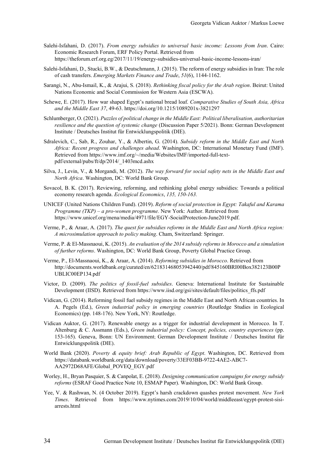- Salehi-Isfahani, D. (2017). *From energy subsidies to universal basic income: Lessons from Iran*. Cairo: Economic Research Forum, ERF Policy Portal. Retrieved from [https://theforum.erf.org.eg/2017/11/19/energy-subsidies-universal-basic-income-lessons-iran/](https://theforum.erf.org.eg/2017/11/19/energy-subsidies-universal-basic-income-lessons-iran)
- of cash transfers. *Emerging Markets Finance and Trade*, *51*(6), 1144-1162. Salehi-Isfahani, D., Stucki, B.W., & Deutschmann, J. (2015). The reform of energy subsidies in Iran: The role
- Nations Economic and Social Commission for Western Asia (ESCWA). Sarangi, N., Abu-Ismail, K., & Arajui, S. (2018). *Rethinking fiscal policy for the Arab region*. Beirut: United
- Schewe, E. (2017). How war shaped Egypt's national bread loaf. *Comparative Studies of South Asia, Africa and the Middle East 37*, 49-63.<https://doi.org/10.1215/1089201x-3821297>
- Schlumberger, O. (2021). *Puzzles of political change in the Middle East: Political liberalisation, authoritarian resilience and the question of systemic change* (Discussion Paper 5/2021). Bonn: German Development Institute / Deutsches Institut für Entwicklungspolitik (DIE).
- Retrieved from<https://www.imf.org/~/media/Websites/IMF/imported-full-text>-Sdralevich, C., Sab, R., Zouhar, Y., & Albertin, G. (2014). *Subsidy reform in the Middle East and North Africa: Recent progress and challenges ahead*. Washington, DC: International Monetary Fund (IMF). pdf/external/pubs/ft/dp/2014/\_1403mcd.ashx
- *North Africa*. Washington, DC: World Bank Group. Silva, J., Levin, V., & Morgandi, M. (2012). *The way forward for social safety nets in the Middle East and*
- Sovacol, B. K. (2017). Reviewing, reforming, and rethinking global energy subsidies: Towards a political economy research agenda. *Ecological Economics*, *135, 150-163.*
- *Programme (TKP) a pro-women programme.* New York: Author. Retrieved from UNICEF (United Nations Children Fund). (2019). *Reform of social protection in Egypt: Takaful and Karama*  [https://www.unicef.org/mena/media/4971/file/EGY-SocialProtection-June2019.pdf.](https://www.unicef.org/mena/media/4971/file/EGY-SocialProtection-June2019.pdf)
- Verme, P., & Araar, A. (2017). *The quest for subsidies reforms in the Middle East and North Africa region: A microsimulation approach to policy making*. Cham, Switzerland: Springer.
- Verme, P. & El-Massnaoui, K. (2015). *An evaluation of the 2014 subsidy reforms in Morocco and a simulation of further reforms*. Washington, DC: World Bank Group, Poverty Global Practice Group.
- Verme, P., El-Massnaoui, K., & Araar, A. (2014). Reforming subsidies in Morocco. Retrieved from <http://documents.worldbank.org/curated/en/621831468053942440/pdf/845160BRI00Box382123B00P> UBLIC00EP134.pdf
- Victor, D. (2009). *The politics of fossil-fuel subsidies*. Geneva: International Institute for Sustainable Development (IISD). Retrieved from [https://www.iisd.org/gsi/sites/default/files/politics\\_ffs.pdf](https://www.iisd.org/gsi/sites/default/files/politics_ffs.pdf)
- Vidican, G. (2014). Reforming fossil fuel subsidy regimes in the Middle East and North African countries. In Economics) (pp. 148-176). New York, NY: Routledge. A. Pegels (Ed.), *Green industrial policy in emerging countries* (Routledge Studies in Ecological
- Altenburg & C. Assmann (Eds.), *Green industrial policy: Concept, policies, country experiences* (pp. Vidican Auktor, G. (2017). Renewable energy as a trigger for industrial development in Morocco. In T. 153-165). Geneva, Bonn: UN Environment; German Development Institute / Deutsches Institut für Entwicklungspolitik (DIE).
- World Bank (2020). *Poverty & equity brief: Arab Republic of Egypt*. Washington, DC. Retrieved from [https://databank.worldbank.org/data/download/poverty/33EF03BB-9722-4AE2-ABC7-](https://databank.worldbank.org/data/download/poverty/33EF03BB-9722-4AE2-ABC7) AA2972D68AFE/Global\_POVEQ\_EGY.pdf
- Worley, H., Bryan Pasquier, S. & Canpolat, E. (2018). *Designing communication campaigns for energy subsidy reforms* (ESRAF Good Practice Note 10, ESMAP Paper). Washington, DC: World Bank Group.
- Yee, V. & Rashwan, N. (4 October 2019). Egypt's harsh crackdown quashes protest movement. *New York Times*. Retrieved from <https://www.nytimes.com/2019/10/04/world/middleeast/egypt-protest-sisi>arrests.html